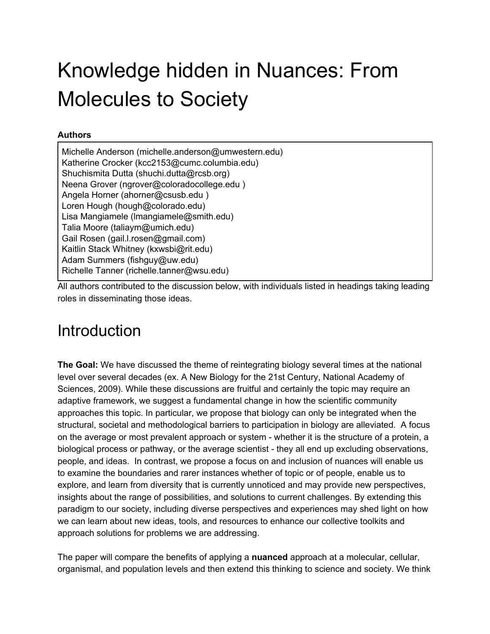# Knowledge hidden in Nuances: From Molecules to Society

#### **Authors**

Michelle Anderson (michelle.anderson@umwestern.edu) Katherine Crocker (kcc2153@cumc.columbia.edu) Shuchismita Dutta (shuchi.dutta@rcsb.org) Neena Grover (ngrover@coloradocollege.edu ) Angela Horner (ahorner@csusb.edu ) Loren Hough (hough@colorado.edu) Lisa Mangiamele (lmangiamele@smith.edu) Talia Moore (taliaym@umich.edu) Gail Rosen (gail.l.rosen@gmail.com) Kaitlin Stack Whitney (kxwsbi@rit.edu) Adam Summers (fishguy@uw.edu) Richelle Tanner (richelle.tanner@wsu.edu)

All authors contributed to the discussion below, with individuals listed in headings taking leading roles in disseminating those ideas.

## <span id="page-0-0"></span>**Introduction**

**The Goal:** We have discussed the theme of reintegrating biology several times at the national level over several decades (ex. A New Biology for the 21st Century, National Academy of Sciences, 2009). While these discussions are fruitful and certainly the topic may require an adaptive framework, we suggest a fundamental change in how the scientific community approaches this topic. In particular, we propose that biology can only be integrated when the structural, societal and methodological barriers to participation in biology are alleviated. A focus on the average or most prevalent approach or system - whether it is the structure of a protein, a biological process or pathway, or the average scientist - they all end up excluding observations, people, and ideas. In contrast, we propose a focus on and inclusion of nuances will enable us to examine the boundaries and rarer instances whether of topic or of people, enable us to explore, and learn from diversity that is currently unnoticed and may provide new perspectives, insights about the range of possibilities, and solutions to current challenges. By extending this paradigm to our society, including diverse perspectives and experiences may shed light on how we can learn about new ideas, tools, and resources to enhance our collective toolkits and approach solutions for problems we are addressing.

The paper will compare the benefits of applying a **nuanced** approach at a molecular, cellular, organismal, and population levels and then extend this thinking to science and society. We think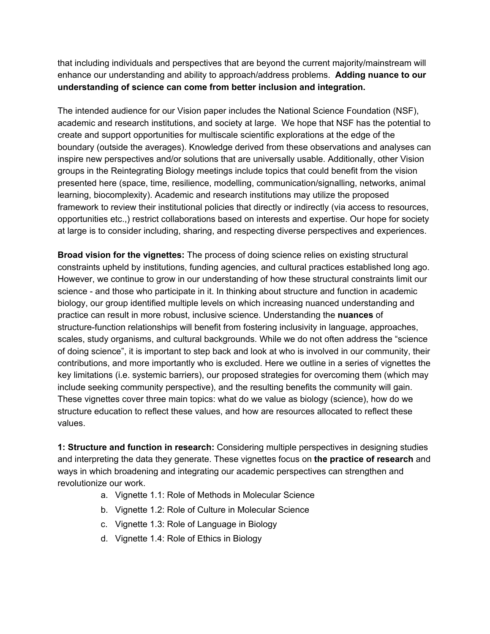that including individuals and perspectives that are beyond the current majority/mainstream will enhance our understanding and ability to approach/address problems. **Adding nuance to our understanding of science can come from better inclusion and integration.**

The intended audience for our Vision paper includes the National Science Foundation (NSF), academic and research institutions, and society at large. We hope that NSF has the potential to create and support opportunities for multiscale scientific explorations at the edge of the boundary (outside the averages). Knowledge derived from these observations and analyses can inspire new perspectives and/or solutions that are universally usable. Additionally, other Vision groups in the Reintegrating Biology meetings include topics that could benefit from the vision presented here (space, time, resilience, modelling, communication/signalling, networks, animal learning, biocomplexity). Academic and research institutions may utilize the proposed framework to review their institutional policies that directly or indirectly (via access to resources, opportunities etc.,) restrict collaborations based on interests and expertise. Our hope for society at large is to consider including, sharing, and respecting diverse perspectives and experiences.

**Broad vision for the vignettes:** The process of doing science relies on existing structural constraints upheld by institutions, funding agencies, and cultural practices established long ago. However, we continue to grow in our understanding of how these structural constraints limit our science - and those who participate in it. In thinking about structure and function in academic biology, our group identified multiple levels on which increasing nuanced understanding and practice can result in more robust, inclusive science. Understanding the **nuances** of structure-function relationships will benefit from fostering inclusivity in language, approaches, scales, study organisms, and cultural backgrounds. While we do not often address the "science of doing science", it is important to step back and look at who is involved in our community, their contributions, and more importantly who is excluded. Here we outline in a series of vignettes the key limitations (i.e. systemic barriers), our proposed strategies for overcoming them (which may include seeking community perspective), and the resulting benefits the community will gain. These vignettes cover three main topics: what do we value as biology (science), how do we structure education to reflect these values, and how are resources allocated to reflect these values.

**1: Structure and function in research:** Considering multiple perspectives in designing studies and interpreting the data they generate. These vignettes focus on **the practice of research** and ways in which broadening and integrating our academic perspectives can strengthen and revolutionize our work.

- a. Vignette 1.1: Role of Methods in Molecular Science
- b. Vignette 1.2: Role of Culture in Molecular Science
- c. Vignette 1.3: Role of Language in Biology
- d. Vignette 1.4: Role of Ethics in Biology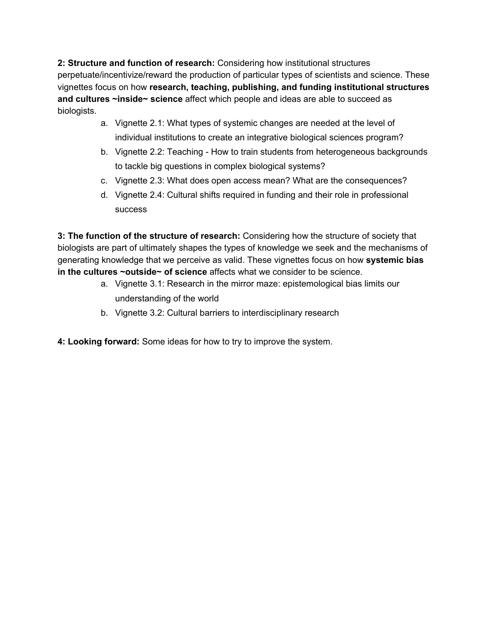**2: Structure and function of research:** Considering how institutional structures perpetuate/incentivize/reward the production of particular types of scientists and science. These vignettes focus on how **research, teaching, publishing, and funding institutional structures and cultures ~inside~ science** affect which people and ideas are able to succeed as biologists.

- a. Vignette 2.1: What types of systemic changes are needed at the level of individual institutions to create an integrative biological sciences program?
- b. Vignette 2.2: Teaching How to train students from heterogeneous backgrounds to tackle big questions in complex biological systems?
- c. Vignette 2.3: What does open access mean? What are the consequences?
- d. Vignette 2.4: Cultural shifts required in funding and their role in professional success

**3: The function of the structure of research:** Considering how the structure of society that biologists are part of ultimately shapes the types of knowledge we seek and the mechanisms of generating knowledge that we perceive as valid. These vignettes focus on how **systemic bias in the cultures ~outside~ of science** affects what we consider to be science.

- a. Vignette 3.1: Research in the mirror maze: epistemological bias limits our understanding of the world
- b. Vignette 3.2: Cultural barriers to interdisciplinary research

**4: Looking forward:** Some ideas for how to try to improve the system.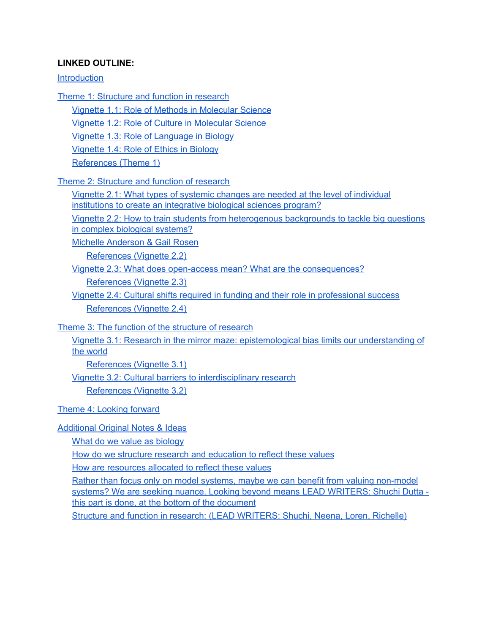#### **LINKED OUTLINE:**

#### **[Introduction](#page-0-0)**

- Theme 1: [Structure](#page-3-0) and function in research
	- Vignette 1.1: Role of Methods in [Molecular](#page-4-0) Science

Vignette 1.2: Role of Culture in [Molecular](#page-5-0) Science

Vignette 1.3: Role of [Language](#page-6-0) in Biology

[Vignette](#page-6-1) 1.4: Role of Ethics in Biology

[References](#page-7-0) (Theme 1)

Theme 2: [Structure](#page-8-0) and function of research

Vignette 2.1: What types of systemic changes are needed at the level of [individual](#page-8-1) [institutions](#page-8-1) to create an integrative biological sciences program?

Vignette 2.2: How to train students from [heterogenous](#page-11-0) backgrounds to tackle big questions in complex biological [systems?](#page-11-0)

Michelle [Anderson](#page-11-1) & Gail Rosen

[References](#page-13-0) (Vignette 2.2)

Vignette 2.3: What does open-access mean? What are the [consequences?](#page-14-0)

[References](#page-17-0) (Vignette 2.3)

Vignette 2.4: Cultural shifts required in funding and their role in [professional](#page-18-0) success [References](#page-21-0) (Vignette 2.4)

Theme 3: The function of the [structure](#page-22-0) of research

Vignette 3.1: Research in the mirror maze: [epistemological](#page-22-1) bias limits our understanding of the [world](#page-22-1)

[References](#page-25-0) (Vignette 3.1)

Vignette 3.2: Cultural barriers to [interdisciplinary](#page-25-1) research

[References](#page-28-0) (Vignette 3.2)

Theme 4: [Looking](#page-29-0) forward

#### [Additional](#page-31-0) Original Notes & Ideas

What do we value as [biology](#page-31-1)

How do we structure research and [education](#page-32-0) to reflect these values

How are [resources](#page-32-1) allocated to reflect these values

Rather than focus only on model systems, maybe we can benefit from valuing [non-model](#page-37-0) systems? We are seeking nuance. Looking beyond means LEAD [WRITERS:](#page-37-0) Shuchi Dutta this part is done, at the bottom of the [document](#page-37-0)

<span id="page-3-0"></span>Structure and function in research: (LEAD [WRITERS:](#page-37-1) Shuchi, Neena, Loren, Richelle)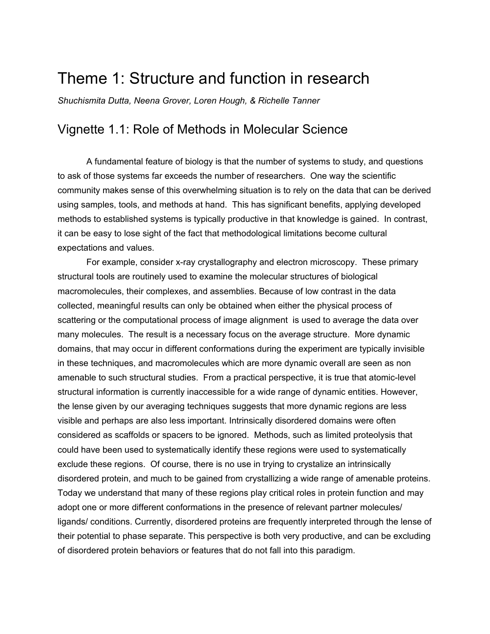## Theme 1: Structure and function in research

<span id="page-4-0"></span>*Shuchismita Dutta, Neena Grover, Loren Hough, & Richelle Tanner*

## Vignette 1.1: Role of Methods in Molecular Science

A fundamental feature of biology is that the number of systems to study, and questions to ask of those systems far exceeds the number of researchers. One way the scientific community makes sense of this overwhelming situation is to rely on the data that can be derived using samples, tools, and methods at hand. This has significant benefits, applying developed methods to established systems is typically productive in that knowledge is gained. In contrast, it can be easy to lose sight of the fact that methodological limitations become cultural expectations and values.

For example, consider x-ray crystallography and electron microscopy. These primary structural tools are routinely used to examine the molecular structures of biological macromolecules, their complexes, and assemblies. Because of low contrast in the data collected, meaningful results can only be obtained when either the physical process of scattering or the computational process of image alignment is used to average the data over many molecules. The result is a necessary focus on the average structure. More dynamic domains, that may occur in different conformations during the experiment are typically invisible in these techniques, and macromolecules which are more dynamic overall are seen as non amenable to such structural studies. From a practical perspective, it is true that atomic-level structural information is currently inaccessible for a wide range of dynamic entities. However, the lense given by our averaging techniques suggests that more dynamic regions are less visible and perhaps are also less important. Intrinsically disordered domains were often considered as scaffolds or spacers to be ignored. Methods, such as limited proteolysis that could have been used to systematically identify these regions were used to systematically exclude these regions. Of course, there is no use in trying to crystalize an intrinsically disordered protein, and much to be gained from crystallizing a wide range of amenable proteins. Today we understand that many of these regions play critical roles in protein function and may adopt one or more different conformations in the presence of relevant partner molecules/ ligands/ conditions. Currently, disordered proteins are frequently interpreted through the lense of their potential to phase separate. This perspective is both very productive, and can be excluding of disordered protein behaviors or features that do not fall into this paradigm.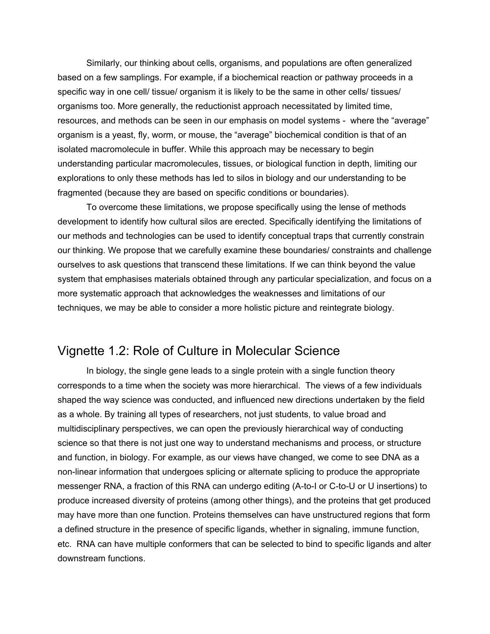Similarly, our thinking about cells, organisms, and populations are often generalized based on a few samplings. For example, if a biochemical reaction or pathway proceeds in a specific way in one cell/ tissue/ organism it is likely to be the same in other cells/ tissues/ organisms too. More generally, the reductionist approach necessitated by limited time, resources, and methods can be seen in our emphasis on model systems - where the "average" organism is a yeast, fly, worm, or mouse, the "average" biochemical condition is that of an isolated macromolecule in buffer. While this approach may be necessary to begin understanding particular macromolecules, tissues, or biological function in depth, limiting our explorations to only these methods has led to silos in biology and our understanding to be fragmented (because they are based on specific conditions or boundaries).

To overcome these limitations, we propose specifically using the lense of methods development to identify how cultural silos are erected. Specifically identifying the limitations of our methods and technologies can be used to identify conceptual traps that currently constrain our thinking. We propose that we carefully examine these boundaries/ constraints and challenge ourselves to ask questions that transcend these limitations. If we can think beyond the value system that emphasises materials obtained through any particular specialization, and focus on a more systematic approach that acknowledges the weaknesses and limitations of our techniques, we may be able to consider a more holistic picture and reintegrate biology.

## <span id="page-5-0"></span>Vignette 1.2: Role of Culture in Molecular Science

In biology, the single gene leads to a single protein with a single function theory corresponds to a time when the society was more hierarchical. The views of a few individuals shaped the way science was conducted, and influenced new directions undertaken by the field as a whole. By training all types of researchers, not just students, to value broad and multidisciplinary perspectives, we can open the previously hierarchical way of conducting science so that there is not just one way to understand mechanisms and process, or structure and function, in biology. For example, as our views have changed, we come to see DNA as a non-linear information that undergoes splicing or alternate splicing to produce the appropriate messenger RNA, a fraction of this RNA can undergo editing (A-to-I or C-to-U or U insertions) to produce increased diversity of proteins (among other things), and the proteins that get produced may have more than one function. Proteins themselves can have unstructured regions that form a defined structure in the presence of specific ligands, whether in signaling, immune function, etc. RNA can have multiple conformers that can be selected to bind to specific ligands and alter downstream functions.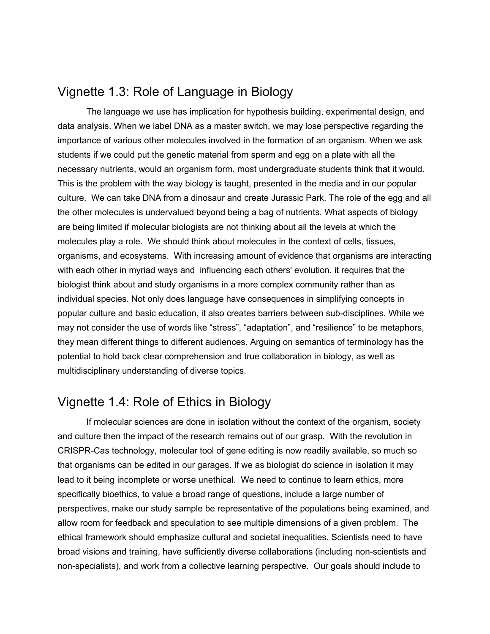## <span id="page-6-0"></span>Vignette 1.3: Role of Language in Biology

The language we use has implication for hypothesis building, experimental design, and data analysis. When we label DNA as a master switch, we may lose perspective regarding the importance of various other molecules involved in the formation of an organism. When we ask students if we could put the genetic material from sperm and egg on a plate with all the necessary nutrients, would an organism form, most undergraduate students think that it would. This is the problem with the way biology is taught, presented in the media and in our popular culture. We can take DNA from a dinosaur and create Jurassic Park. The role of the egg and all the other molecules is undervalued beyond being a bag of nutrients. What aspects of biology are being limited if molecular biologists are not thinking about all the levels at which the molecules play a role. We should think about molecules in the context of cells, tissues, organisms, and ecosystems. With increasing amount of evidence that organisms are interacting with each other in myriad ways and influencing each others' evolution, it requires that the biologist think about and study organisms in a more complex community rather than as individual species. Not only does language have consequences in simplifying concepts in popular culture and basic education, it also creates barriers between sub-disciplines. While we may not consider the use of words like "stress", "adaptation", and "resilience" to be metaphors, they mean different things to different audiences. Arguing on semantics of terminology has the potential to hold back clear comprehension and true collaboration in biology, as well as multidisciplinary understanding of diverse topics.

## <span id="page-6-1"></span>Vignette 1.4: Role of Ethics in Biology

If molecular sciences are done in isolation without the context of the organism, society and culture then the impact of the research remains out of our grasp. With the revolution in CRISPR-Cas technology, molecular tool of gene editing is now readily available, so much so that organisms can be edited in our garages. If we as biologist do science in isolation it may lead to it being incomplete or worse unethical. We need to continue to learn ethics, more specifically bioethics, to value a broad range of questions, include a large number of perspectives, make our study sample be representative of the populations being examined, and allow room for feedback and speculation to see multiple dimensions of a given problem. The ethical framework should emphasize cultural and societal inequalities. Scientists need to have broad visions and training, have sufficiently diverse collaborations (including non-scientists and non-specialists), and work from a collective learning perspective. Our goals should include to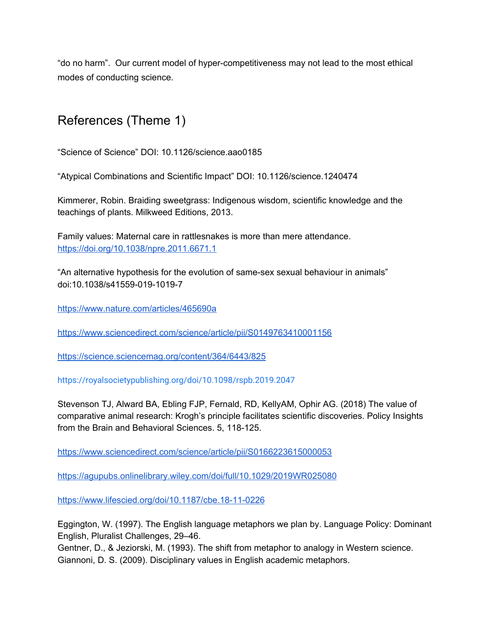"do no harm". Our current model of hyper-competitiveness may not lead to the most ethical modes of conducting science.

## <span id="page-7-0"></span>References (Theme 1)

"Science of Science" DOI: 10.1126/science.aao0185

"Atypical Combinations and Scientific Impact" DOI: 10.1126/science.1240474

Kimmerer, Robin. Braiding sweetgrass: Indigenous wisdom, scientific knowledge and the teachings of plants. Milkweed Editions, 2013.

Family values: Maternal care in rattlesnakes is more than mere attendance. <https://doi.org/10.1038/npre.2011.6671.1>

"An alternative hypothesis for the evolution of same-sex sexual behaviour in animals" doi:10.1038/s41559-019-1019-7

<https://www.nature.com/articles/465690a>

<https://www.sciencedirect.com/science/article/pii/S0149763410001156>

<https://science.sciencemag.org/content/364/6443/825>

<https://royalsocietypublishing.org/doi/10.1098/rspb.2019.2047>

Stevenson TJ, Alward BA, Ebling FJP, Fernald, RD, KellyAM, Ophir AG. (2018) The value of comparative animal research: Krogh's principle facilitates scientific discoveries. Policy Insights from the Brain and Behavioral Sciences. 5, 118-125.

<https://www.sciencedirect.com/science/article/pii/S0166223615000053>

<https://agupubs.onlinelibrary.wiley.com/doi/full/10.1029/2019WR025080>

<https://www.lifescied.org/doi/10.1187/cbe.18-11-0226>

Eggington, W. (1997). The English language metaphors we plan by. Language Policy: Dominant English, Pluralist Challenges, 29–46.

Gentner, D., & Jeziorski, M. (1993). The shift from metaphor to analogy in Western science. Giannoni, D. S. (2009). Disciplinary values in English academic metaphors.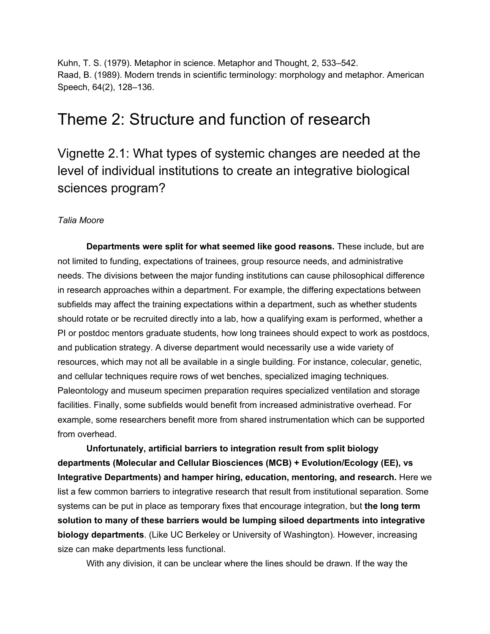Kuhn, T. S. (1979). Metaphor in science. Metaphor and Thought, 2, 533–542. Raad, B. (1989). Modern trends in scientific terminology: morphology and metaphor. American Speech, 64(2), 128–136.

## <span id="page-8-0"></span>Theme 2: Structure and function of research

<span id="page-8-1"></span>Vignette 2.1: What types of systemic changes are needed at the level of individual institutions to create an integrative biological sciences program?

#### *Talia Moore*

**Departments were split for what seemed like good reasons.** These include, but are not limited to funding, expectations of trainees, group resource needs, and administrative needs. The divisions between the major funding institutions can cause philosophical difference in research approaches within a department. For example, the differing expectations between subfields may affect the training expectations within a department, such as whether students should rotate or be recruited directly into a lab, how a qualifying exam is performed, whether a PI or postdoc mentors graduate students, how long trainees should expect to work as postdocs, and publication strategy. A diverse department would necessarily use a wide variety of resources, which may not all be available in a single building. For instance, colecular, genetic, and cellular techniques require rows of wet benches, specialized imaging techniques. Paleontology and museum specimen preparation requires specialized ventilation and storage facilities. Finally, some subfields would benefit from increased administrative overhead. For example, some researchers benefit more from shared instrumentation which can be supported from overhead.

**Unfortunately, artificial barriers to integration result from split biology departments (Molecular and Cellular Biosciences (MCB) + Evolution/Ecology (EE), vs Integrative Departments) and hamper hiring, education, mentoring, and research.** Here we list a few common barriers to integrative research that result from institutional separation. Some systems can be put in place as temporary fixes that encourage integration, but **the long term solution to many of these barriers would be lumping siloed departments into integrative biology departments**. (Like UC Berkeley or University of Washington). However, increasing size can make departments less functional.

With any division, it can be unclear where the lines should be drawn. If the way the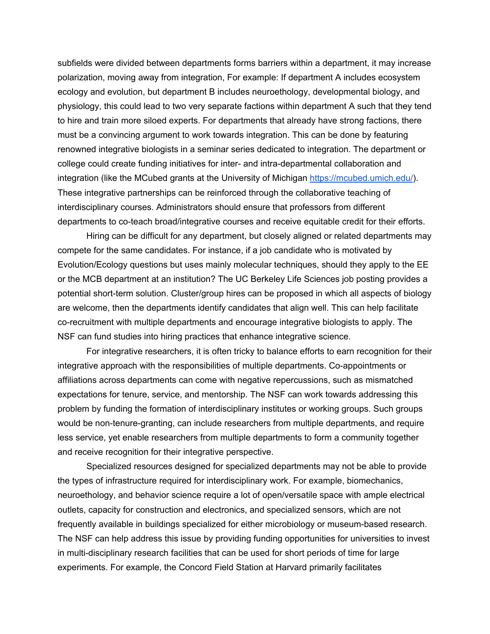subfields were divided between departments forms barriers within a department, it may increase polarization, moving away from integration, For example: If department A includes ecosystem ecology and evolution, but department B includes neuroethology, developmental biology, and physiology, this could lead to two very separate factions within department A such that they tend to hire and train more siloed experts. For departments that already have strong factions, there must be a convincing argument to work towards integration. This can be done by featuring renowned integrative biologists in a seminar series dedicated to integration. The department or college could create funding initiatives for inter- and intra-departmental collaboration and integration (like the MCubed grants at the University of Michigan <https://mcubed.umich.edu/>). These integrative partnerships can be reinforced through the collaborative teaching of interdisciplinary courses. Administrators should ensure that professors from different departments to co-teach broad/integrative courses and receive equitable credit for their efforts.

Hiring can be difficult for any department, but closely aligned or related departments may compete for the same candidates. For instance, if a job candidate who is motivated by Evolution/Ecology questions but uses mainly molecular techniques, should they apply to the EE or the MCB department at an institution? The UC Berkeley Life Sciences job posting provides a potential short-term solution. Cluster/group hires can be proposed in which all aspects of biology are welcome, then the departments identify candidates that align well. This can help facilitate co-recruitment with multiple departments and encourage integrative biologists to apply. The NSF can fund studies into hiring practices that enhance integrative science.

For integrative researchers, it is often tricky to balance efforts to earn recognition for their integrative approach with the responsibilities of multiple departments. Co-appointments or affiliations across departments can come with negative repercussions, such as mismatched expectations for tenure, service, and mentorship. The NSF can work towards addressing this problem by funding the formation of interdisciplinary institutes or working groups. Such groups would be non-tenure-granting, can include researchers from multiple departments, and require less service, yet enable researchers from multiple departments to form a community together and receive recognition for their integrative perspective.

Specialized resources designed for specialized departments may not be able to provide the types of infrastructure required for interdisciplinary work. For example, biomechanics, neuroethology, and behavior science require a lot of open/versatile space with ample electrical outlets, capacity for construction and electronics, and specialized sensors, which are not frequently available in buildings specialized for either microbiology or museum-based research. The NSF can help address this issue by providing funding opportunities for universities to invest in multi-disciplinary research facilities that can be used for short periods of time for large experiments. For example, the Concord Field Station at Harvard primarily facilitates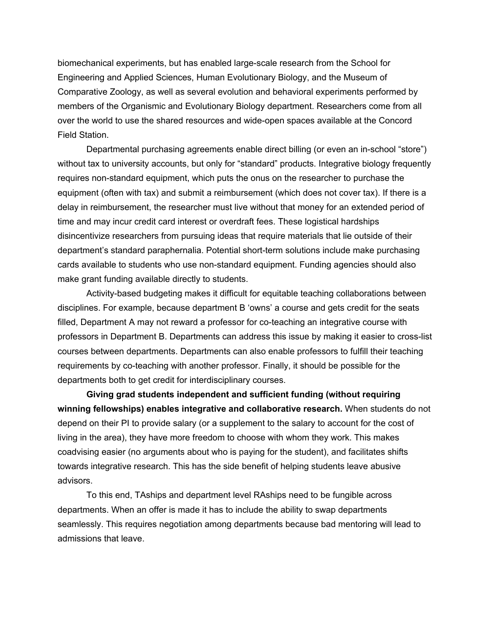biomechanical experiments, but has enabled large-scale research from the School for Engineering and Applied Sciences, Human Evolutionary Biology, and the Museum of Comparative Zoology, as well as several evolution and behavioral experiments performed by members of the Organismic and Evolutionary Biology department. Researchers come from all over the world to use the shared resources and wide-open spaces available at the Concord Field Station.

Departmental purchasing agreements enable direct billing (or even an in-school "store") without tax to university accounts, but only for "standard" products. Integrative biology frequently requires non-standard equipment, which puts the onus on the researcher to purchase the equipment (often with tax) and submit a reimbursement (which does not cover tax). If there is a delay in reimbursement, the researcher must live without that money for an extended period of time and may incur credit card interest or overdraft fees. These logistical hardships disincentivize researchers from pursuing ideas that require materials that lie outside of their department's standard paraphernalia. Potential short-term solutions include make purchasing cards available to students who use non-standard equipment. Funding agencies should also make grant funding available directly to students.

Activity-based budgeting makes it difficult for equitable teaching collaborations between disciplines. For example, because department B 'owns' a course and gets credit for the seats filled, Department A may not reward a professor for co-teaching an integrative course with professors in Department B. Departments can address this issue by making it easier to cross-list courses between departments. Departments can also enable professors to fulfill their teaching requirements by co-teaching with another professor. Finally, it should be possible for the departments both to get credit for interdisciplinary courses.

**Giving grad students independent and sufficient funding (without requiring winning fellowships) enables integrative and collaborative research.** When students do not depend on their PI to provide salary (or a supplement to the salary to account for the cost of living in the area), they have more freedom to choose with whom they work. This makes coadvising easier (no arguments about who is paying for the student), and facilitates shifts towards integrative research. This has the side benefit of helping students leave abusive advisors.

To this end, TAships and department level RAships need to be fungible across departments. When an offer is made it has to include the ability to swap departments seamlessly. This requires negotiation among departments because bad mentoring will lead to admissions that leave.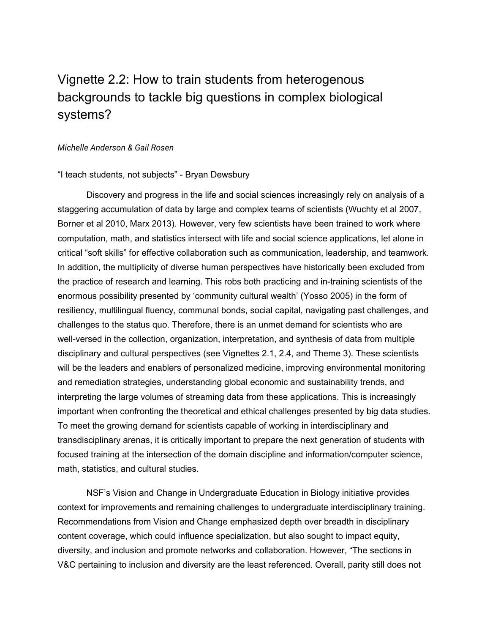## <span id="page-11-0"></span>Vignette 2.2: How to train students from heterogenous backgrounds to tackle big questions in complex biological systems?

#### <span id="page-11-1"></span>*Michelle Anderson & Gail Rosen*

#### "I teach students, not subjects" - Bryan Dewsbury

Discovery and progress in the life and social sciences increasingly rely on analysis of a staggering accumulation of data by large and complex teams of scientists (Wuchty et al 2007, Borner et al 2010, Marx 2013). However, very few scientists have been trained to work where computation, math, and statistics intersect with life and social science applications, let alone in critical "soft skills" for effective collaboration such as communication, leadership, and teamwork. In addition, the multiplicity of diverse human perspectives have historically been excluded from the practice of research and learning. This robs both practicing and in-training scientists of the enormous possibility presented by 'community cultural wealth' (Yosso 2005) in the form of resiliency, multilingual fluency, communal bonds, social capital, navigating past challenges, and challenges to the status quo. Therefore, there is an unmet demand for scientists who are well-versed in the collection, organization, interpretation, and synthesis of data from multiple disciplinary and cultural perspectives (see Vignettes 2.1, 2.4, and Theme 3). These scientists will be the leaders and enablers of personalized medicine, improving environmental monitoring and remediation strategies, understanding global economic and sustainability trends, and interpreting the large volumes of streaming data from these applications. This is increasingly important when confronting the theoretical and ethical challenges presented by big data studies. To meet the growing demand for scientists capable of working in interdisciplinary and transdisciplinary arenas, it is critically important to prepare the next generation of students with focused training at the intersection of the domain discipline and information/computer science, math, statistics, and cultural studies.

NSF's Vision and Change in Undergraduate Education in Biology initiative provides context for improvements and remaining challenges to undergraduate interdisciplinary training. Recommendations from Vision and Change emphasized depth over breadth in disciplinary content coverage, which could influence specialization, but also sought to impact equity, diversity, and inclusion and promote networks and collaboration. However, "The sections in V&C pertaining to inclusion and diversity are the least referenced. Overall, parity still does not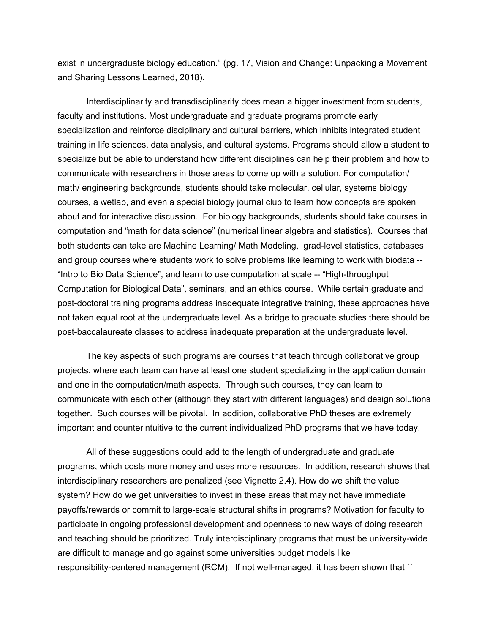exist in undergraduate biology education." (pg. 17, Vision and Change: Unpacking a Movement and Sharing Lessons Learned, 2018).

Interdisciplinarity and transdisciplinarity does mean a bigger investment from students, faculty and institutions. Most undergraduate and graduate programs promote early specialization and reinforce disciplinary and cultural barriers, which inhibits integrated student training in life sciences, data analysis, and cultural systems. Programs should allow a student to specialize but be able to understand how different disciplines can help their problem and how to communicate with researchers in those areas to come up with a solution. For computation/ math/ engineering backgrounds, students should take molecular, cellular, systems biology courses, a wetlab, and even a special biology journal club to learn how concepts are spoken about and for interactive discussion. For biology backgrounds, students should take courses in computation and "math for data science" (numerical linear algebra and statistics). Courses that both students can take are Machine Learning/ Math Modeling, grad-level statistics, databases and group courses where students work to solve problems like learning to work with biodata -- "Intro to Bio Data Science", and learn to use computation at scale -- "High-throughput Computation for Biological Data", seminars, and an ethics course. While certain graduate and post-doctoral training programs address inadequate integrative training, these approaches have not taken equal root at the undergraduate level. As a bridge to graduate studies there should be post-baccalaureate classes to address inadequate preparation at the undergraduate level.

The key aspects of such programs are courses that teach through collaborative group projects, where each team can have at least one student specializing in the application domain and one in the computation/math aspects. Through such courses, they can learn to communicate with each other (although they start with different languages) and design solutions together. Such courses will be pivotal. In addition, collaborative PhD theses are extremely important and counterintuitive to the current individualized PhD programs that we have today.

All of these suggestions could add to the length of undergraduate and graduate programs, which costs more money and uses more resources. In addition, research shows that interdisciplinary researchers are penalized (see Vignette 2.4). How do we shift the value system? How do we get universities to invest in these areas that may not have immediate payoffs/rewards or commit to large-scale structural shifts in programs? Motivation for faculty to participate in ongoing professional development and openness to new ways of doing research and teaching should be prioritized. Truly interdisciplinary programs that must be university-wide are difficult to manage and go against some universities budget models like responsibility-centered management (RCM). If not well-managed, it has been shown that ``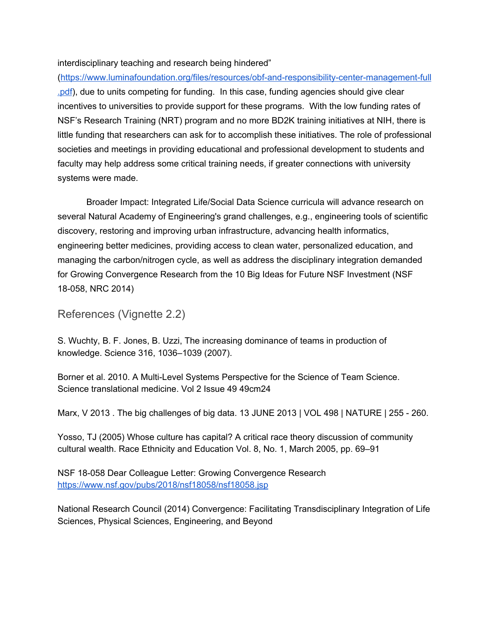#### interdisciplinary teaching and research being hindered"

([https://www.luminafoundation.org/files/resources/obf-and-responsibility-center-management-full](https://www.luminafoundation.org/files/resources/obf-and-responsibility-center-management-full.pdf) [.pdf](https://www.luminafoundation.org/files/resources/obf-and-responsibility-center-management-full.pdf)), due to units competing for funding. In this case, funding agencies should give clear incentives to universities to provide support for these programs. With the low funding rates of NSF's Research Training (NRT) program and no more BD2K training initiatives at NIH, there is little funding that researchers can ask for to accomplish these initiatives. The role of professional societies and meetings in providing educational and professional development to students and faculty may help address some critical training needs, if greater connections with university systems were made.

Broader Impact: Integrated Life/Social Data Science curricula will advance research on several Natural Academy of Engineering's grand challenges, e.g., engineering tools of scientific discovery, restoring and improving urban infrastructure, advancing health informatics, engineering better medicines, providing access to clean water, personalized education, and managing the carbon/nitrogen cycle, as well as address the disciplinary integration demanded for Growing Convergence Research from the 10 Big Ideas for Future NSF Investment (NSF 18-058, NRC 2014)

<span id="page-13-0"></span>References (Vignette 2.2)

S. Wuchty, B. F. Jones, B. Uzzi, The increasing dominance of teams in production of knowledge. Science 316, 1036–1039 (2007).

Borner et al. 2010. A Multi-Level Systems Perspective for the Science of Team Science. Science translational medicine. Vol 2 Issue 49 49cm24

Marx, V 2013 . The big challenges of big data. 13 JUNE 2013 | VOL 498 | NATURE | 255 - 260.

Yosso, TJ (2005) Whose culture has capital? A critical race theory discussion of community cultural wealth. Race Ethnicity and Education Vol. 8, No. 1, March 2005, pp. 69–91

NSF 18-058 Dear Colleague Letter: Growing Convergence Research <https://www.nsf.gov/pubs/2018/nsf18058/nsf18058.jsp>

National Research Council (2014) Convergence: Facilitating Transdisciplinary Integration of Life Sciences, Physical Sciences, Engineering, and Beyond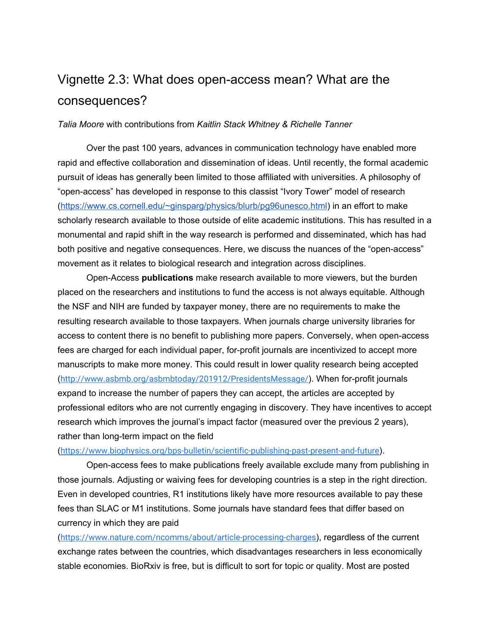## <span id="page-14-0"></span>Vignette 2.3: What does open-access mean? What are the consequences?

#### *Talia Moore* with contributions from *Kaitlin Stack Whitney & Richelle Tanner*

Over the past 100 years, advances in communication technology have enabled more rapid and effective collaboration and dissemination of ideas. Until recently, the formal academic pursuit of ideas has generally been limited to those affiliated with universities. A philosophy of "open-access" has developed in response to this classist "Ivory Tower" model of research ([https://www.cs.cornell.edu/~ginsparg/physics/blurb/pg96unesco.html\)](https://www.cs.cornell.edu/~ginsparg/physics/blurb/pg96unesco.html) in an effort to make scholarly research available to those outside of elite academic institutions. This has resulted in a monumental and rapid shift in the way research is performed and disseminated, which has had both positive and negative consequences. Here, we discuss the nuances of the "open-access" movement as it relates to biological research and integration across disciplines.

Open-Access **publications** make research available to more viewers, but the burden placed on the researchers and institutions to fund the access is not always equitable. Although the NSF and NIH are funded by taxpayer money, there are no requirements to make the resulting research available to those taxpayers. When journals charge university libraries for access to content there is no benefit to publishing more papers. Conversely, when open-access fees are charged for each individual paper, for-profit journals are incentivized to accept more manuscripts to make more money. This could result in lower quality research being accepted (<http://www.asbmb.org/asbmbtoday/201912/PresidentsMessage/>). When for-profit journals expand to increase the number of papers they can accept, the articles are accepted by professional editors who are not currently engaging in discovery. They have incentives to accept research which improves the journal's impact factor (measured over the previous 2 years), rather than long-term impact on the field

#### (<https://www.biophysics.org/bps-bulletin/scientific-publishing-past-present-and-future>).

Open-access fees to make publications freely available exclude many from publishing in those journals. Adjusting or waiving fees for developing countries is a step in the right direction. Even in developed countries, R1 institutions likely have more resources available to pay these fees than SLAC or M1 institutions. Some journals have standard fees that differ based on currency in which they are paid

(<https://www.nature.com/ncomms/about/article-processing-charges>), regardless of the current exchange rates between the countries, which disadvantages researchers in less economically stable economies. BioRxiv is free, but is difficult to sort for topic or quality. Most are posted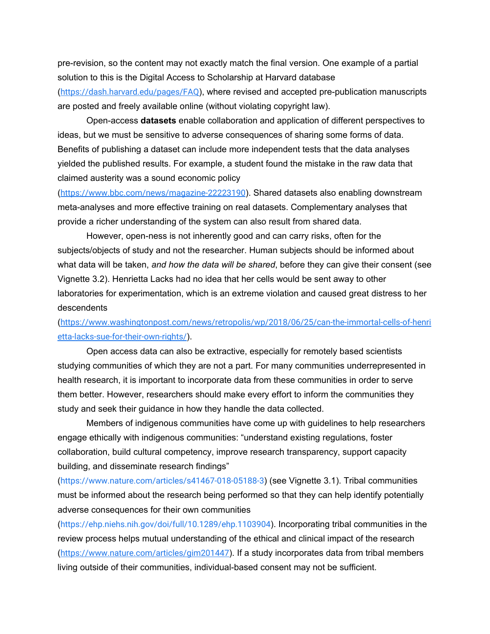pre-revision, so the content may not exactly match the final version. One example of a partial solution to this is the Digital Access to Scholarship at Harvard database (<https://dash.harvard.edu/pages/FAQ>), where revised and accepted pre-publication manuscripts are posted and freely available online (without violating copyright law).

Open-access **datasets** enable collaboration and application of different perspectives to ideas, but we must be sensitive to adverse consequences of sharing some forms of data. Benefits of publishing a dataset can include more independent tests that the data analyses yielded the published results. For example, a student found the mistake in the raw data that claimed austerity was a sound economic policy

(<https://www.bbc.com/news/magazine-22223190>). Shared datasets also enabling downstream meta-analyses and more effective training on real datasets. Complementary analyses that provide a richer understanding of the system can also result from shared data.

However, open-ness is not inherently good and can carry risks, often for the subjects/objects of study and not the researcher. Human subjects should be informed about what data will be taken, *and how the data will be shared*, before they can give their consent (see Vignette 3.2). Henrietta Lacks had no idea that her cells would be sent away to other laboratories for experimentation, which is an extreme violation and caused great distress to her descendents

([https://www.washingtonpost.com/news/retropolis/wp/2018/06/25/can-the-immortal-cells-of-henri](https://www.washingtonpost.com/news/retropolis/wp/2018/06/25/can-the-immortal-cells-of-henrietta-lacks-sue-for-their-own-rights/) [etta-lacks-sue-for-their-own-rights/](https://www.washingtonpost.com/news/retropolis/wp/2018/06/25/can-the-immortal-cells-of-henrietta-lacks-sue-for-their-own-rights/)).

Open access data can also be extractive, especially for remotely based scientists studying communities of which they are not a part. For many communities underrepresented in health research, it is important to incorporate data from these communities in order to serve them better. However, researchers should make every effort to inform the communities they study and seek their guidance in how they handle the data collected.

Members of indigenous communities have come up with guidelines to help researchers engage ethically with indigenous communities: "understand existing regulations, foster collaboration, build cultural competency, improve research transparency, support capacity building, and disseminate research findings"

(<https://www.nature.com/articles/s41467-018-05188-3>) (see Vignette 3.1). Tribal communities must be informed about the research being performed so that they can help identify potentially adverse consequences for their own communities

(<https://ehp.niehs.nih.gov/doi/full/10.1289/ehp.1103904>). Incorporating tribal communities in the review process helps mutual understanding of the ethical and clinical impact of the research (<https://www.nature.com/articles/gim201447>). If a study incorporates data from tribal members living outside of their communities, individual-based consent may not be sufficient.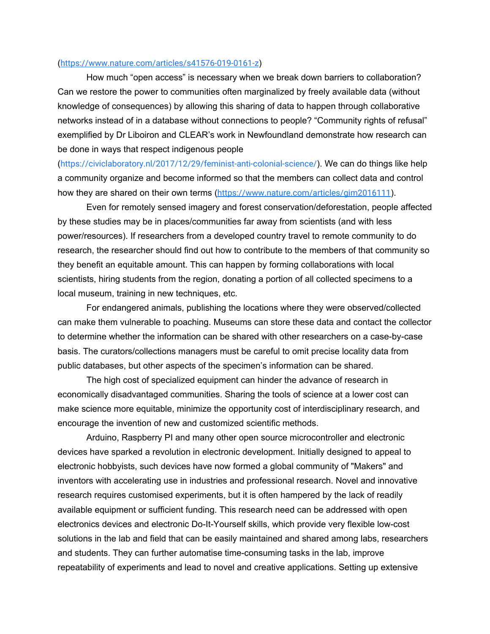#### (<https://www.nature.com/articles/s41576-019-0161-z>)

How much "open access" is necessary when we break down barriers to collaboration? Can we restore the power to communities often marginalized by freely available data (without knowledge of consequences) by allowing this sharing of data to happen through collaborative networks instead of in a database without connections to people? "Community rights of refusal" exemplified by Dr Liboiron and CLEAR's work in Newfoundland demonstrate how research can be done in ways that respect indigenous people

(<https://civiclaboratory.nl/2017/12/29/feminist-anti-colonial-science/>). We can do things like help a community organize and become informed so that the members can collect data and control how they are shared on their own terms (<https://www.nature.com/articles/gim2016111>).

Even for remotely sensed imagery and forest conservation/deforestation, people affected by these studies may be in places/communities far away from scientists (and with less power/resources). If researchers from a developed country travel to remote community to do research, the researcher should find out how to contribute to the members of that community so they benefit an equitable amount. This can happen by forming collaborations with local scientists, hiring students from the region, donating a portion of all collected specimens to a local museum, training in new techniques, etc.

For endangered animals, publishing the locations where they were observed/collected can make them vulnerable to poaching. Museums can store these data and contact the collector to determine whether the information can be shared with other researchers on a case-by-case basis. The curators/collections managers must be careful to omit precise locality data from public databases, but other aspects of the specimen's information can be shared.

The high cost of specialized equipment can hinder the advance of research in economically disadvantaged communities. Sharing the tools of science at a lower cost can make science more equitable, minimize the opportunity cost of interdisciplinary research, and encourage the invention of new and customized scientific methods.

Arduino, Raspberry PI and many other open source microcontroller and electronic devices have sparked a revolution in electronic development. Initially designed to appeal to electronic hobbyists, such devices have now formed a global community of "Makers" and inventors with accelerating use in industries and professional research. Novel and innovative research requires customised experiments, but it is often hampered by the lack of readily available equipment or sufficient funding. This research need can be addressed with open electronics devices and electronic Do-It-Yourself skills, which provide very flexible low-cost solutions in the lab and field that can be easily maintained and shared among labs, researchers and students. They can further automatise time-consuming tasks in the lab, improve repeatability of experiments and lead to novel and creative applications. Setting up extensive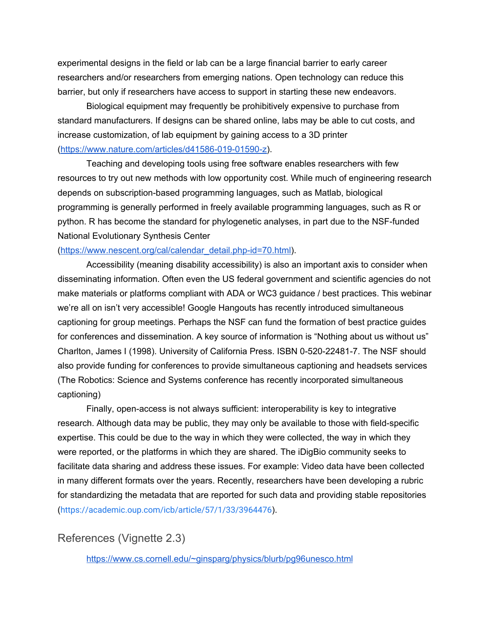experimental designs in the field or lab can be a large financial barrier to early career researchers and/or researchers from emerging nations. Open technology can reduce this barrier, but only if researchers have access to support in starting these new endeavors.

Biological equipment may frequently be prohibitively expensive to purchase from standard manufacturers. If designs can be shared online, labs may be able to cut costs, and increase customization, of lab equipment by gaining access to a 3D printer ([https://www.nature.com/articles/d41586-019-01590-z\)](https://www.nature.com/articles/d41586-019-01590-z).

Teaching and developing tools using free software enables researchers with few resources to try out new methods with low opportunity cost. While much of engineering research depends on subscription-based programming languages, such as Matlab, biological programming is generally performed in freely available programming languages, such as R or python. R has become the standard for phylogenetic analyses, in part due to the NSF-funded National Evolutionary Synthesis Center

#### ([https://www.nescent.org/cal/calendar\\_detail.php-id=70.html\)](https://www.nescent.org/cal/calendar_detail.php-id=70.html).

Accessibility (meaning disability accessibility) is also an important axis to consider when disseminating information. Often even the US federal government and scientific agencies do not make materials or platforms compliant with ADA or WC3 guidance / best practices. This webinar we're all on isn't very accessible! Google Hangouts has recently introduced simultaneous captioning for group meetings. Perhaps the NSF can fund the formation of best practice guides for conferences and dissemination. A key source of information is "Nothing about us without us" Charlton, James I (1998). University of California Press. ISBN 0-520-22481-7. The NSF should also provide funding for conferences to provide simultaneous captioning and headsets services (The Robotics: Science and Systems conference has recently incorporated simultaneous captioning)

Finally, open-access is not always sufficient: interoperability is key to integrative research. Although data may be public, they may only be available to those with field-specific expertise. This could be due to the way in which they were collected, the way in which they were reported, or the platforms in which they are shared. The iDigBio community seeks to facilitate data sharing and address these issues. For example: Video data have been collected in many different formats over the years. Recently, researchers have been developing a rubric for standardizing the metadata that are reported for such data and providing stable repositories (<https://academic.oup.com/icb/article/57/1/33/3964476>).

#### <span id="page-17-0"></span>References (Vignette 2.3)

<https://www.cs.cornell.edu/~ginsparg/physics/blurb/pg96unesco.html>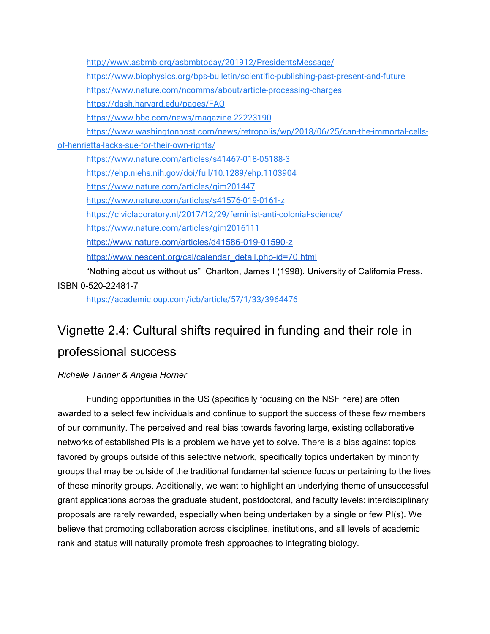<http://www.asbmb.org/asbmbtoday/201912/PresidentsMessage/> <https://www.biophysics.org/bps-bulletin/scientific-publishing-past-present-and-future> <https://www.nature.com/ncomms/about/article-processing-charges> <https://dash.harvard.edu/pages/FAQ> <https://www.bbc.com/news/magazine-22223190> [https://www.washingtonpost.com/news/retropolis/wp/2018/06/25/can-the-immortal-cells](https://www.washingtonpost.com/news/retropolis/wp/2018/06/25/can-the-immortal-cells-of-henrietta-lacks-sue-for-their-own-rights/)[of-henrietta-lacks-sue-for-their-own-rights/](https://www.washingtonpost.com/news/retropolis/wp/2018/06/25/can-the-immortal-cells-of-henrietta-lacks-sue-for-their-own-rights/) <https://www.nature.com/articles/s41467-018-05188-3> <https://ehp.niehs.nih.gov/doi/full/10.1289/ehp.1103904> <https://www.nature.com/articles/gim201447> <https://www.nature.com/articles/s41576-019-0161-z> <https://civiclaboratory.nl/2017/12/29/feminist-anti-colonial-science/> <https://www.nature.com/articles/gim2016111> <https://www.nature.com/articles/d41586-019-01590-z> [https://www.nescent.org/cal/calendar\\_detail.php-id=70.html](https://www.nescent.org/cal/calendar_detail.php-id=70.html) "Nothing about us without us" Charlton, James I (1998). University of California Press.

ISBN 0-520-22481-7

<https://academic.oup.com/icb/article/57/1/33/3964476>

## <span id="page-18-0"></span>Vignette 2.4: Cultural shifts required in funding and their role in professional success

#### *Richelle Tanner & Angela Horner*

Funding opportunities in the US (specifically focusing on the NSF here) are often awarded to a select few individuals and continue to support the success of these few members of our community. The perceived and real bias towards favoring large, existing collaborative networks of established PIs is a problem we have yet to solve. There is a bias against topics favored by groups outside of this selective network, specifically topics undertaken by minority groups that may be outside of the traditional fundamental science focus or pertaining to the lives of these minority groups. Additionally, we want to highlight an underlying theme of unsuccessful grant applications across the graduate student, postdoctoral, and faculty levels: interdisciplinary proposals are rarely rewarded, especially when being undertaken by a single or few PI(s). We believe that promoting collaboration across disciplines, institutions, and all levels of academic rank and status will naturally promote fresh approaches to integrating biology.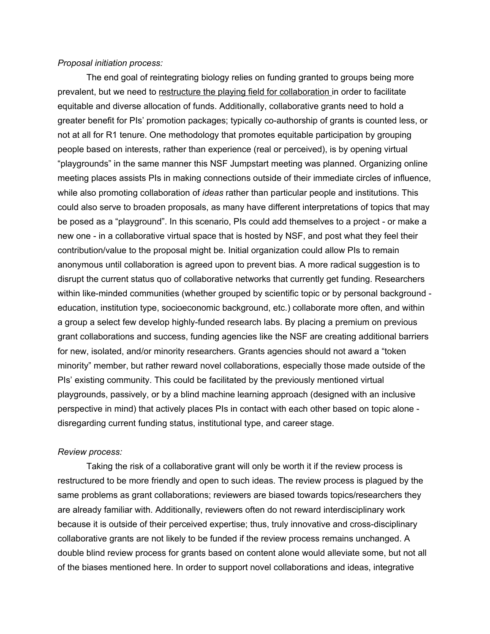#### *Proposal initiation process:*

The end goal of reintegrating biology relies on funding granted to groups being more prevalent, but we need to restructure the playing field for collaboration in order to facilitate equitable and diverse allocation of funds. Additionally, collaborative grants need to hold a greater benefit for PIs' promotion packages; typically co-authorship of grants is counted less, or not at all for R1 tenure. One methodology that promotes equitable participation by grouping people based on interests, rather than experience (real or perceived), is by opening virtual "playgrounds" in the same manner this NSF Jumpstart meeting was planned. Organizing online meeting places assists PIs in making connections outside of their immediate circles of influence, while also promoting collaboration of *ideas* rather than particular people and institutions. This could also serve to broaden proposals, as many have different interpretations of topics that may be posed as a "playground". In this scenario, PIs could add themselves to a project - or make a new one - in a collaborative virtual space that is hosted by NSF, and post what they feel their contribution/value to the proposal might be. Initial organization could allow PIs to remain anonymous until collaboration is agreed upon to prevent bias. A more radical suggestion is to disrupt the current status quo of collaborative networks that currently get funding. Researchers within like-minded communities (whether grouped by scientific topic or by personal background education, institution type, socioeconomic background, etc.) collaborate more often, and within a group a select few develop highly-funded research labs. By placing a premium on previous grant collaborations and success, funding agencies like the NSF are creating additional barriers for new, isolated, and/or minority researchers. Grants agencies should not award a "token minority" member, but rather reward novel collaborations, especially those made outside of the PIs' existing community. This could be facilitated by the previously mentioned virtual playgrounds, passively, or by a blind machine learning approach (designed with an inclusive perspective in mind) that actively places PIs in contact with each other based on topic alone disregarding current funding status, institutional type, and career stage.

#### *Review process:*

Taking the risk of a collaborative grant will only be worth it if the review process is restructured to be more friendly and open to such ideas. The review process is plagued by the same problems as grant collaborations; reviewers are biased towards topics/researchers they are already familiar with. Additionally, reviewers often do not reward interdisciplinary work because it is outside of their perceived expertise; thus, truly innovative and cross-disciplinary collaborative grants are not likely to be funded if the review process remains unchanged. A double blind review process for grants based on content alone would alleviate some, but not all of the biases mentioned here. In order to support novel collaborations and ideas, integrative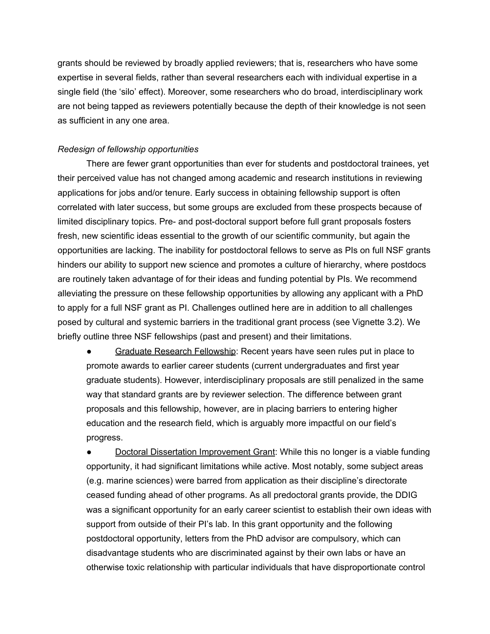grants should be reviewed by broadly applied reviewers; that is, researchers who have some expertise in several fields, rather than several researchers each with individual expertise in a single field (the 'silo' effect). Moreover, some researchers who do broad, interdisciplinary work are not being tapped as reviewers potentially because the depth of their knowledge is not seen as sufficient in any one area.

#### *Redesign of fellowship opportunities*

There are fewer grant opportunities than ever for students and postdoctoral trainees, yet their perceived value has not changed among academic and research institutions in reviewing applications for jobs and/or tenure. Early success in obtaining fellowship support is often correlated with later success, but some groups are excluded from these prospects because of limited disciplinary topics. Pre- and post-doctoral support before full grant proposals fosters fresh, new scientific ideas essential to the growth of our scientific community, but again the opportunities are lacking. The inability for postdoctoral fellows to serve as PIs on full NSF grants hinders our ability to support new science and promotes a culture of hierarchy, where postdocs are routinely taken advantage of for their ideas and funding potential by PIs. We recommend alleviating the pressure on these fellowship opportunities by allowing any applicant with a PhD to apply for a full NSF grant as PI. Challenges outlined here are in addition to all challenges posed by cultural and systemic barriers in the traditional grant process (see Vignette 3.2). We briefly outline three NSF fellowships (past and present) and their limitations.

Graduate Research Fellowship: Recent years have seen rules put in place to promote awards to earlier career students (current undergraduates and first year graduate students). However, interdisciplinary proposals are still penalized in the same way that standard grants are by reviewer selection. The difference between grant proposals and this fellowship, however, are in placing barriers to entering higher education and the research field, which is arguably more impactful on our field's progress.

**Doctoral Dissertation Improvement Grant: While this no longer is a viable funding** opportunity, it had significant limitations while active. Most notably, some subject areas (e.g. marine sciences) were barred from application as their discipline's directorate ceased funding ahead of other programs. As all predoctoral grants provide, the DDIG was a significant opportunity for an early career scientist to establish their own ideas with support from outside of their PI's lab. In this grant opportunity and the following postdoctoral opportunity, letters from the PhD advisor are compulsory, which can disadvantage students who are discriminated against by their own labs or have an otherwise toxic relationship with particular individuals that have disproportionate control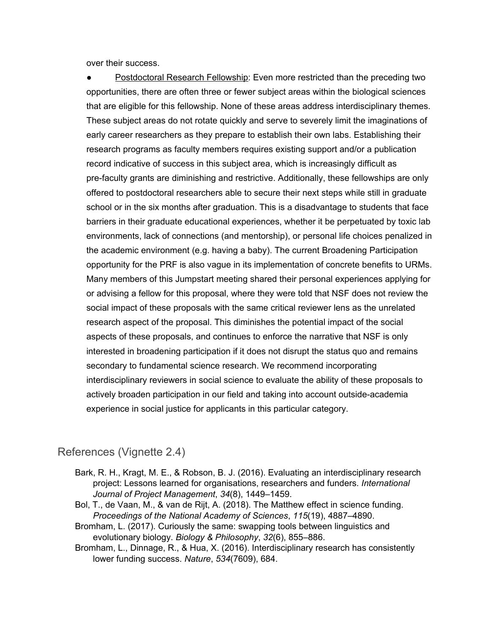over their success.

● Postdoctoral Research Fellowship: Even more restricted than the preceding two opportunities, there are often three or fewer subject areas within the biological sciences that are eligible for this fellowship. None of these areas address interdisciplinary themes. These subject areas do not rotate quickly and serve to severely limit the imaginations of early career researchers as they prepare to establish their own labs. Establishing their research programs as faculty members requires existing support and/or a publication record indicative of success in this subject area, which is increasingly difficult as pre-faculty grants are diminishing and restrictive. Additionally, these fellowships are only offered to postdoctoral researchers able to secure their next steps while still in graduate school or in the six months after graduation. This is a disadvantage to students that face barriers in their graduate educational experiences, whether it be perpetuated by toxic lab environments, lack of connections (and mentorship), or personal life choices penalized in the academic environment (e.g. having a baby). The current Broadening Participation opportunity for the PRF is also vague in its implementation of concrete benefits to URMs. Many members of this Jumpstart meeting shared their personal experiences applying for or advising a fellow for this proposal, where they were told that NSF does not review the social impact of these proposals with the same critical reviewer lens as the unrelated research aspect of the proposal. This diminishes the potential impact of the social aspects of these proposals, and continues to enforce the narrative that NSF is only interested in broadening participation if it does not disrupt the status quo and remains secondary to fundamental science research. We recommend incorporating interdisciplinary reviewers in social science to evaluate the ability of these proposals to actively broaden participation in our field and taking into account outside-academia experience in social justice for applicants in this particular category.

#### <span id="page-21-0"></span>References (Vignette 2.4)

- Bark, R. H., Kragt, M. E., & Robson, B. J. (2016). Evaluating an interdisciplinary research project: Lessons learned for organisations, researchers and funders. *International Journal of Project Management*, *34*(8), 1449–1459.
- Bol, T., de Vaan, M., & van de Rijt, A. (2018). The Matthew effect in science funding. *Proceedings of the National Academy of Sciences*, *115*(19), 4887–4890.
- Bromham, L. (2017). Curiously the same: swapping tools between linguistics and evolutionary biology. *Biology & Philosophy*, *32*(6), 855–886.
- Bromham, L., Dinnage, R., & Hua, X. (2016). Interdisciplinary research has consistently lower funding success. *Nature*, *534*(7609), 684.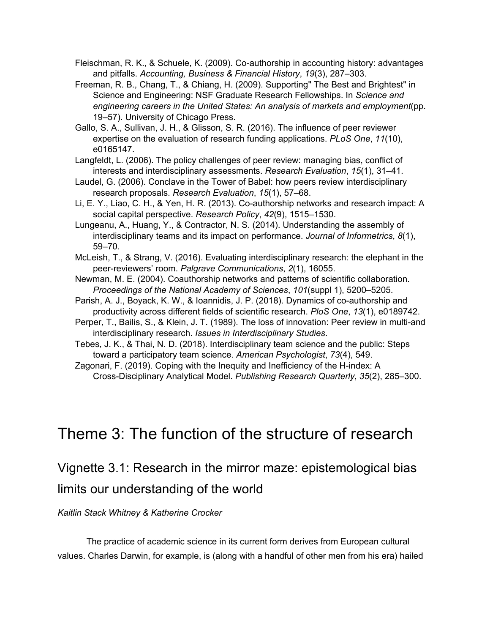Fleischman, R. K., & Schuele, K. (2009). Co-authorship in accounting history: advantages and pitfalls. *Accounting, Business & Financial History*, *19*(3), 287–303.

Freeman, R. B., Chang, T., & Chiang, H. (2009). Supporting" The Best and Brightest" in Science and Engineering: NSF Graduate Research Fellowships. In *Science and engineering careers in the United States: An analysis of markets and employment*(pp. 19–57). University of Chicago Press.

Gallo, S. A., Sullivan, J. H., & Glisson, S. R. (2016). The influence of peer reviewer expertise on the evaluation of research funding applications. *PLoS One*, *11*(10), e0165147.

Langfeldt, L. (2006). The policy challenges of peer review: managing bias, conflict of interests and interdisciplinary assessments. *Research Evaluation*, *15*(1), 31–41.

Laudel, G. (2006). Conclave in the Tower of Babel: how peers review interdisciplinary research proposals. *Research Evaluation*, *15*(1), 57–68.

Li, E. Y., Liao, C. H., & Yen, H. R. (2013). Co-authorship networks and research impact: A social capital perspective. *Research Policy*, *42*(9), 1515–1530.

Lungeanu, A., Huang, Y., & Contractor, N. S. (2014). Understanding the assembly of interdisciplinary teams and its impact on performance. *Journal of Informetrics*, *8*(1), 59–70.

McLeish, T., & Strang, V. (2016). Evaluating interdisciplinary research: the elephant in the peer-reviewers' room. *Palgrave Communications*, *2*(1), 16055.

Newman, M. E. (2004). Coauthorship networks and patterns of scientific collaboration. *Proceedings of the National Academy of Sciences*, *101*(suppl 1), 5200–5205.

Parish, A. J., Boyack, K. W., & Ioannidis, J. P. (2018). Dynamics of co-authorship and productivity across different fields of scientific research. *PloS One*, *13*(1), e0189742.

Perper, T., Bailis, S., & Klein, J. T. (1989). The loss of innovation: Peer review in multi-and interdisciplinary research. *Issues in Interdisciplinary Studies*.

Tebes, J. K., & Thai, N. D. (2018). Interdisciplinary team science and the public: Steps toward a participatory team science. *American Psychologist*, *73*(4), 549.

Zagonari, F. (2019). Coping with the Inequity and Inefficiency of the H-index: A Cross-Disciplinary Analytical Model. *Publishing Research Quarterly*, *35*(2), 285–300.

## <span id="page-22-0"></span>Theme 3: The function of the structure of research

<span id="page-22-1"></span>Vignette 3.1: Research in the mirror maze: epistemological bias limits our understanding of the world

*Kaitlin Stack Whitney & Katherine Crocker*

The practice of academic science in its current form derives from European cultural values. Charles Darwin, for example, is (along with a handful of other men from his era) hailed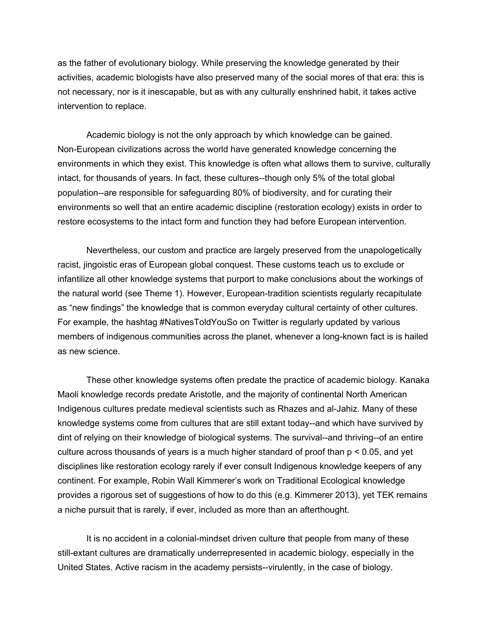as the father of evolutionary biology. While preserving the knowledge generated by their activities, academic biologists have also preserved many of the social mores of that era: this is not necessary, nor is it inescapable, but as with any culturally enshrined habit, it takes active intervention to replace.

Academic biology is not the only approach by which knowledge can be gained. Non-European civilizations across the world have generated knowledge concerning the environments in which they exist. This knowledge is often what allows them to survive, culturally intact, for thousands of years. In fact, these cultures--though only 5% of the total global population--are responsible for safeguarding 80% of biodiversity, and for curating their environments so well that an entire academic discipline (restoration ecology) exists in order to restore ecosystems to the intact form and function they had before European intervention.

Nevertheless, our custom and practice are largely preserved from the unapologetically racist, jingoistic eras of European global conquest. These customs teach us to exclude or infantilize all other knowledge systems that purport to make conclusions about the workings of the natural world (see Theme 1). However, European-tradition scientists regularly recapitulate as "new findings" the knowledge that is common everyday cultural certainty of other cultures. For example, the hashtag #NativesToldYouSo on Twitter is regularly updated by various members of indigenous communities across the planet, whenever a long-known fact is is hailed as new science.

These other knowledge systems often predate the practice of academic biology. Kanaka Maoli knowledge records predate Aristotle, and the majority of continental North American Indigenous cultures predate medieval scientists such as Rhazes and al-Jahiz. Many of these knowledge systems come from cultures that are still extant today--and which have survived by dint of relying on their knowledge of biological systems. The survival--and thriving--of an entire culture across thousands of years is a much higher standard of proof than p < 0.05, and yet disciplines like restoration ecology rarely if ever consult Indigenous knowledge keepers of any continent. For example, Robin Wall Kimmerer's work on Traditional Ecological knowledge provides a rigorous set of suggestions of how to do this (e.g. Kimmerer 2013), yet TEK remains a niche pursuit that is rarely, if ever, included as more than an afterthought.

It is no accident in a colonial-mindset driven culture that people from many of these still-extant cultures are dramatically underrepresented in academic biology, especially in the United States. Active racism in the academy persists--virulently, in the case of biology.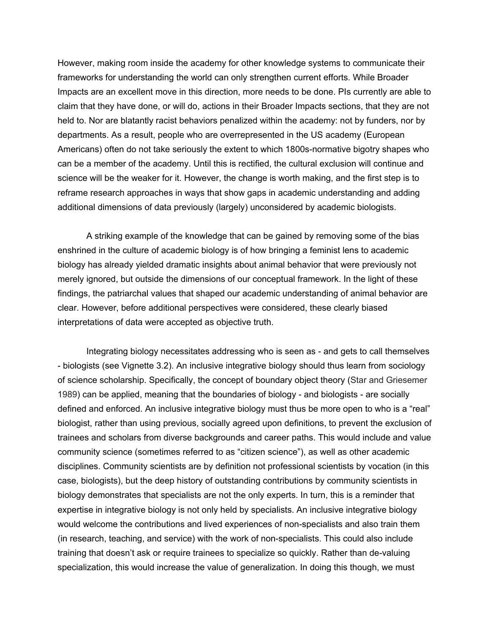However, making room inside the academy for other knowledge systems to communicate their frameworks for understanding the world can only strengthen current efforts. While Broader Impacts are an excellent move in this direction, more needs to be done. PIs currently are able to claim that they have done, or will do, actions in their Broader Impacts sections, that they are not held to. Nor are blatantly racist behaviors penalized within the academy: not by funders, nor by departments. As a result, people who are overrepresented in the US academy (European Americans) often do not take seriously the extent to which 1800s-normative bigotry shapes who can be a member of the academy. Until this is rectified, the cultural exclusion will continue and science will be the weaker for it. However, the change is worth making, and the first step is to reframe research approaches in ways that show gaps in academic understanding and adding additional dimensions of data previously (largely) unconsidered by academic biologists.

A striking example of the knowledge that can be gained by removing some of the bias enshrined in the culture of academic biology is of how bringing a feminist lens to academic biology has already yielded dramatic insights about animal behavior that were previously not merely ignored, but outside the dimensions of our conceptual framework. In the light of these findings, the patriarchal values that shaped our academic understanding of animal behavior are clear. However, before additional perspectives were considered, these clearly biased interpretations of data were accepted as objective truth.

Integrating biology necessitates addressing who is seen as - and gets to call themselves - biologists (see Vignette 3.2). An inclusive integrative biology should thus learn from sociology of science scholarship. Specifically, the concept of boundary object theory (Star and Griesemer 1989) can be applied, meaning that the boundaries of biology - and biologists - are socially defined and enforced. An inclusive integrative biology must thus be more open to who is a "real" biologist, rather than using previous, socially agreed upon definitions, to prevent the exclusion of trainees and scholars from diverse backgrounds and career paths. This would include and value community science (sometimes referred to as "citizen science"), as well as other academic disciplines. Community scientists are by definition not professional scientists by vocation (in this case, biologists), but the deep history of outstanding contributions by community scientists in biology demonstrates that specialists are not the only experts. In turn, this is a reminder that expertise in integrative biology is not only held by specialists. An inclusive integrative biology would welcome the contributions and lived experiences of non-specialists and also train them (in research, teaching, and service) with the work of non-specialists. This could also include training that doesn't ask or require trainees to specialize so quickly. Rather than de-valuing specialization, this would increase the value of generalization. In doing this though, we must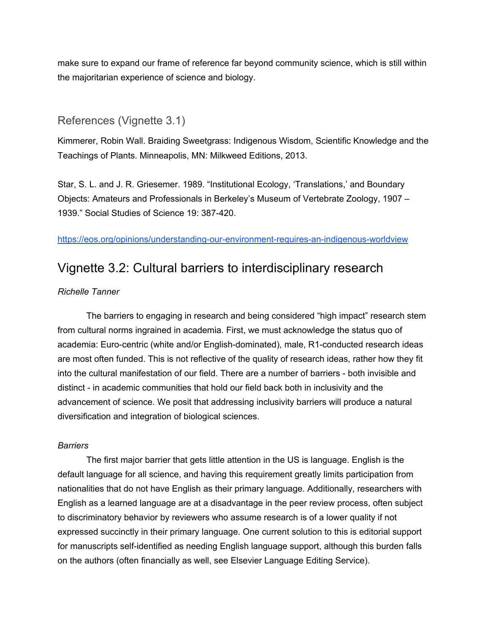make sure to expand our frame of reference far beyond community science, which is still within the majoritarian experience of science and biology.

### <span id="page-25-0"></span>References (Vignette 3.1)

Kimmerer, Robin Wall. Braiding Sweetgrass: Indigenous Wisdom, Scientific Knowledge and the Teachings of Plants. Minneapolis, MN: Milkweed Editions, 2013.

Star, S. L. and J. R. Griesemer. 1989. "Institutional Ecology, 'Translations,' and Boundary Objects: Amateurs and Professionals in Berkeley's Museum of Vertebrate Zoology, 1907 – 1939." Social Studies of Science 19: 387-420.

<span id="page-25-1"></span><https://eos.org/opinions/understanding-our-environment-requires-an-indigenous-worldview>

### Vignette 3.2: Cultural barriers to interdisciplinary research

#### *Richelle Tanner*

The barriers to engaging in research and being considered "high impact" research stem from cultural norms ingrained in academia. First, we must acknowledge the status quo of academia: Euro-centric (white and/or English-dominated), male, R1-conducted research ideas are most often funded. This is not reflective of the quality of research ideas, rather how they fit into the cultural manifestation of our field. There are a number of barriers - both invisible and distinct - in academic communities that hold our field back both in inclusivity and the advancement of science. We posit that addressing inclusivity barriers will produce a natural diversification and integration of biological sciences.

#### *Barriers*

The first major barrier that gets little attention in the US is language. English is the default language for all science, and having this requirement greatly limits participation from nationalities that do not have English as their primary language. Additionally, researchers with English as a learned language are at a disadvantage in the peer review process, often subject to discriminatory behavior by reviewers who assume research is of a lower quality if not expressed succinctly in their primary language. One current solution to this is editorial support for manuscripts self-identified as needing English language support, although this burden falls on the authors (often financially as well, see Elsevier Language Editing Service).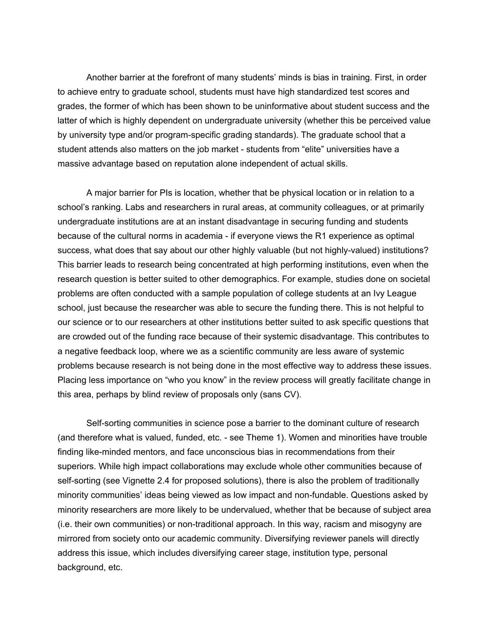Another barrier at the forefront of many students' minds is bias in training. First, in order to achieve entry to graduate school, students must have high standardized test scores and grades, the former of which has been shown to be uninformative about student success and the latter of which is highly dependent on undergraduate university (whether this be perceived value by university type and/or program-specific grading standards). The graduate school that a student attends also matters on the job market - students from "elite" universities have a massive advantage based on reputation alone independent of actual skills.

A major barrier for PIs is location, whether that be physical location or in relation to a school's ranking. Labs and researchers in rural areas, at community colleagues, or at primarily undergraduate institutions are at an instant disadvantage in securing funding and students because of the cultural norms in academia - if everyone views the R1 experience as optimal success, what does that say about our other highly valuable (but not highly-valued) institutions? This barrier leads to research being concentrated at high performing institutions, even when the research question is better suited to other demographics. For example, studies done on societal problems are often conducted with a sample population of college students at an Ivy League school, just because the researcher was able to secure the funding there. This is not helpful to our science or to our researchers at other institutions better suited to ask specific questions that are crowded out of the funding race because of their systemic disadvantage. This contributes to a negative feedback loop, where we as a scientific community are less aware of systemic problems because research is not being done in the most effective way to address these issues. Placing less importance on "who you know" in the review process will greatly facilitate change in this area, perhaps by blind review of proposals only (sans CV).

Self-sorting communities in science pose a barrier to the dominant culture of research (and therefore what is valued, funded, etc. - see Theme 1). Women and minorities have trouble finding like-minded mentors, and face unconscious bias in recommendations from their superiors. While high impact collaborations may exclude whole other communities because of self-sorting (see Vignette 2.4 for proposed solutions), there is also the problem of traditionally minority communities' ideas being viewed as low impact and non-fundable. Questions asked by minority researchers are more likely to be undervalued, whether that be because of subject area (i.e. their own communities) or non-traditional approach. In this way, racism and misogyny are mirrored from society onto our academic community. Diversifying reviewer panels will directly address this issue, which includes diversifying career stage, institution type, personal background, etc.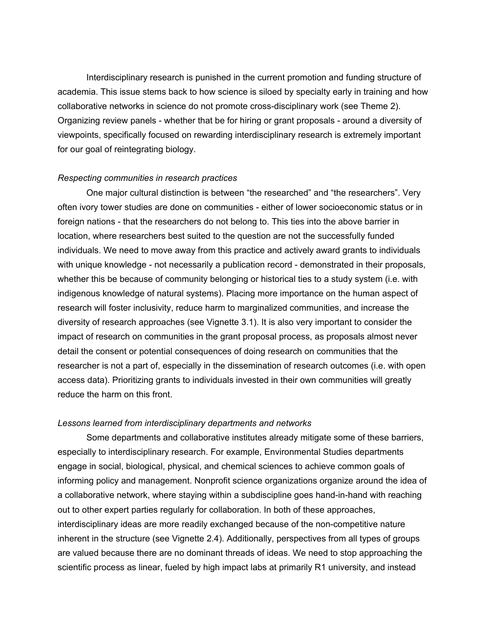Interdisciplinary research is punished in the current promotion and funding structure of academia. This issue stems back to how science is siloed by specialty early in training and how collaborative networks in science do not promote cross-disciplinary work (see Theme 2). Organizing review panels - whether that be for hiring or grant proposals - around a diversity of viewpoints, specifically focused on rewarding interdisciplinary research is extremely important for our goal of reintegrating biology.

#### *Respecting communities in research practices*

One major cultural distinction is between "the researched" and "the researchers". Very often ivory tower studies are done on communities - either of lower socioeconomic status or in foreign nations - that the researchers do not belong to. This ties into the above barrier in location, where researchers best suited to the question are not the successfully funded individuals. We need to move away from this practice and actively award grants to individuals with unique knowledge - not necessarily a publication record - demonstrated in their proposals, whether this be because of community belonging or historical ties to a study system (i.e. with indigenous knowledge of natural systems). Placing more importance on the human aspect of research will foster inclusivity, reduce harm to marginalized communities, and increase the diversity of research approaches (see Vignette 3.1). It is also very important to consider the impact of research on communities in the grant proposal process, as proposals almost never detail the consent or potential consequences of doing research on communities that the researcher is not a part of, especially in the dissemination of research outcomes (i.e. with open access data). Prioritizing grants to individuals invested in their own communities will greatly reduce the harm on this front.

#### *Lessons learned from interdisciplinary departments and networks*

Some departments and collaborative institutes already mitigate some of these barriers, especially to interdisciplinary research. For example, Environmental Studies departments engage in social, biological, physical, and chemical sciences to achieve common goals of informing policy and management. Nonprofit science organizations organize around the idea of a collaborative network, where staying within a subdiscipline goes hand-in-hand with reaching out to other expert parties regularly for collaboration. In both of these approaches, interdisciplinary ideas are more readily exchanged because of the non-competitive nature inherent in the structure (see Vignette 2.4). Additionally, perspectives from all types of groups are valued because there are no dominant threads of ideas. We need to stop approaching the scientific process as linear, fueled by high impact labs at primarily R1 university, and instead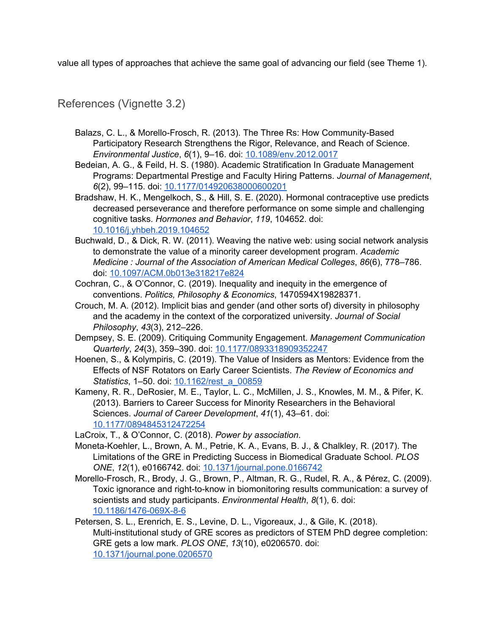value all types of approaches that achieve the same goal of advancing our field (see Theme 1).

### <span id="page-28-0"></span>References (Vignette 3.2)

- Balazs, C. L., & Morello-Frosch, R. (2013). The Three Rs: How Community-Based Participatory Research Strengthens the Rigor, Relevance, and Reach of Science. *Environmental Justice*, *6*(1), 9–16. doi: [10.1089/env.2012.0017](https://doi.org/10.1089/env.2012.0017)
- Bedeian, A. G., & Feild, H. S. (1980). Academic Stratification In Graduate Management Programs: Departmental Prestige and Faculty Hiring Patterns. *Journal of Management*, *6*(2), 99–115. doi: [10.1177/014920638000600201](https://doi.org/10.1177/014920638000600201)
- Bradshaw, H. K., Mengelkoch, S., & Hill, S. E. (2020). Hormonal contraceptive use predicts decreased perseverance and therefore performance on some simple and challenging cognitive tasks. *Hormones and Behavior*, *119*, 104652. doi: [10.1016/j.yhbeh.2019.104652](https://doi.org/10.1016/j.yhbeh.2019.104652)
- Buchwald, D., & Dick, R. W. (2011). Weaving the native web: using social network analysis to demonstrate the value of a minority career development program. *Academic Medicine : Journal of the Association of American Medical Colleges*, *86*(6), 778–786. doi: [10.1097/ACM.0b013e318217e824](https://doi.org/10.1097/ACM.0b013e318217e824)
- Cochran, C., & O'Connor, C. (2019). Inequality and inequity in the emergence of conventions. *Politics, Philosophy & Economics*, 1470594X19828371.
- Crouch, M. A. (2012). Implicit bias and gender (and other sorts of) diversity in philosophy and the academy in the context of the corporatized university. *Journal of Social Philosophy*, *43*(3), 212–226.
- Dempsey, S. E. (2009). Critiquing Community Engagement. *Management Communication Quarterly*, *24*(3), 359–390. doi: [10.1177/0893318909352247](https://doi.org/10.1177/0893318909352247)
- Hoenen, S., & Kolympiris, C. (2019). The Value of Insiders as Mentors: Evidence from the Effects of NSF Rotators on Early Career Scientists. *The Review of Economics and Statistics*, 1–50. doi: [10.1162/rest\\_a\\_00859](https://doi.org/10.1162/rest_a_00859)
- Kameny, R. R., DeRosier, M. E., Taylor, L. C., McMillen, J. S., Knowles, M. M., & Pifer, K. (2013). Barriers to Career Success for Minority Researchers in the Behavioral Sciences. *Journal of Career Development*, *41*(1), 43–61. doi: [10.1177/0894845312472254](https://doi.org/10.1177/0894845312472254)
- LaCroix, T., & O'Connor, C. (2018). *Power by association*.
- Moneta-Koehler, L., Brown, A. M., Petrie, K. A., Evans, B. J., & Chalkley, R. (2017). The Limitations of the GRE in Predicting Success in Biomedical Graduate School. *PLOS ONE*, *12*(1), e0166742. doi: [10.1371/journal.pone.0166742](https://doi.org/10.1371/journal.pone.0166742)
- Morello-Frosch, R., Brody, J. G., Brown, P., Altman, R. G., Rudel, R. A., & Pérez, C. (2009). Toxic ignorance and right-to-know in biomonitoring results communication: a survey of scientists and study participants. *Environmental Health*, *8*(1), 6. doi: [10.1186/1476-069X-8-6](https://doi.org/10.1186/1476-069X-8-6)
- Petersen, S. L., Erenrich, E. S., Levine, D. L., Vigoreaux, J., & Gile, K. (2018). Multi-institutional study of GRE scores as predictors of STEM PhD degree completion: GRE gets a low mark. *PLOS ONE*, *13*(10), e0206570. doi: [10.1371/journal.pone.0206570](https://doi.org/10.1371/journal.pone.0206570)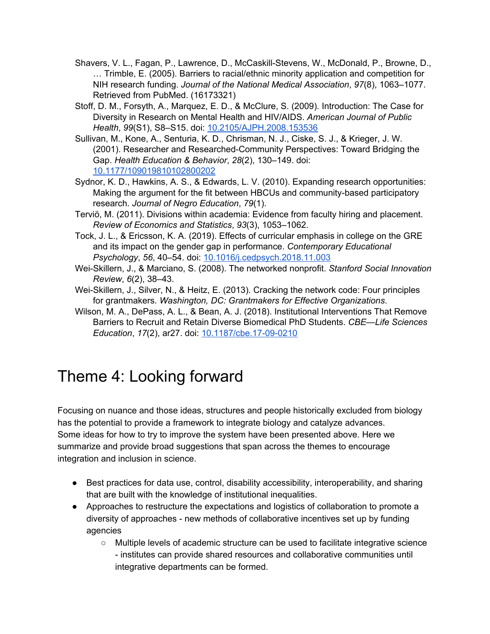- Shavers, V. L., Fagan, P., Lawrence, D., McCaskill-Stevens, W., McDonald, P., Browne, D., … Trimble, E. (2005). Barriers to racial/ethnic minority application and competition for NIH research funding. *Journal of the National Medical Association*, *97*(8), 1063–1077. Retrieved from PubMed. (16173321)
- Stoff, D. M., Forsyth, A., Marquez, E. D., & McClure, S. (2009). Introduction: The Case for Diversity in Research on Mental Health and HIV/AIDS. *American Journal of Public Health*, *99*(S1), S8–S15. doi: [10.2105/AJPH.2008.153536](https://doi.org/10.2105/AJPH.2008.153536)
- Sullivan, M., Kone, A., Senturia, K. D., Chrisman, N. J., Ciske, S. J., & Krieger, J. W. (2001). Researcher and Researched-Community Perspectives: Toward Bridging the Gap. *Health Education & Behavior*, *28*(2), 130–149. doi: [10.1177/109019810102800202](https://doi.org/10.1177/109019810102800202)
- Sydnor, K. D., Hawkins, A. S., & Edwards, L. V. (2010). Expanding research opportunities: Making the argument for the fit between HBCUs and community-based participatory research. *Journal of Negro Education*, *79*(1).
- Terviö, M. (2011). Divisions within academia: Evidence from faculty hiring and placement. *Review of Economics and Statistics*, *93*(3), 1053–1062.
- Tock, J. L., & Ericsson, K. A. (2019). Effects of curricular emphasis in college on the GRE and its impact on the gender gap in performance. *Contemporary Educational Psychology*, *56*, 40–54. doi: [10.1016/j.cedpsych.2018.11.003](https://doi.org/10.1016/j.cedpsych.2018.11.003)
- Wei-Skillern, J., & Marciano, S. (2008). The networked nonprofit. *Stanford Social Innovation Review*, *6*(2), 38–43.
- Wei-Skillern, J., Silver, N., & Heitz, E. (2013). Cracking the network code: Four principles for grantmakers. *Washington, DC: Grantmakers for Effective Organizations*.
- Wilson, M. A., DePass, A. L., & Bean, A. J. (2018). Institutional Interventions That Remove Barriers to Recruit and Retain Diverse Biomedical PhD Students. *CBE—Life Sciences Education*, *17*(2), ar27. doi: [10.1187/cbe.17-09-0210](https://doi.org/10.1187/cbe.17-09-0210)

## <span id="page-29-0"></span>Theme 4: Looking forward

Focusing on nuance and those ideas, structures and people historically excluded from biology has the potential to provide a framework to integrate biology and catalyze advances. Some ideas for how to try to improve the system have been presented above. Here we summarize and provide broad suggestions that span across the themes to encourage integration and inclusion in science.

- Best practices for data use, control, disability accessibility, interoperability, and sharing that are built with the knowledge of institutional inequalities.
- Approaches to restructure the expectations and logistics of collaboration to promote a diversity of approaches - new methods of collaborative incentives set up by funding agencies
	- Multiple levels of academic structure can be used to facilitate integrative science - institutes can provide shared resources and collaborative communities until integrative departments can be formed.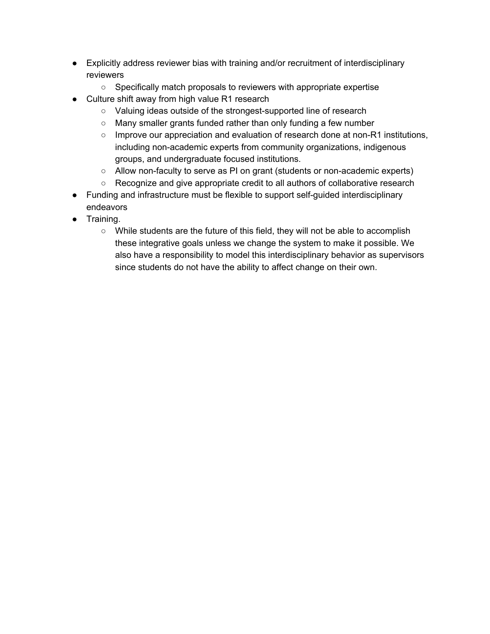- Explicitly address reviewer bias with training and/or recruitment of interdisciplinary reviewers
	- Specifically match proposals to reviewers with appropriate expertise
- Culture shift away from high value R1 research
	- Valuing ideas outside of the strongest-supported line of research
	- Many smaller grants funded rather than only funding a few number
	- $\circ$  Improve our appreciation and evaluation of research done at non-R1 institutions, including non-academic experts from community organizations, indigenous groups, and undergraduate focused institutions.
	- Allow non-faculty to serve as PI on grant (students or non-academic experts)
	- Recognize and give appropriate credit to all authors of collaborative research
- Funding and infrastructure must be flexible to support self-guided interdisciplinary endeavors
- Training.
	- While students are the future of this field, they will not be able to accomplish these integrative goals unless we change the system to make it possible. We also have a responsibility to model this interdisciplinary behavior as supervisors since students do not have the ability to affect change on their own.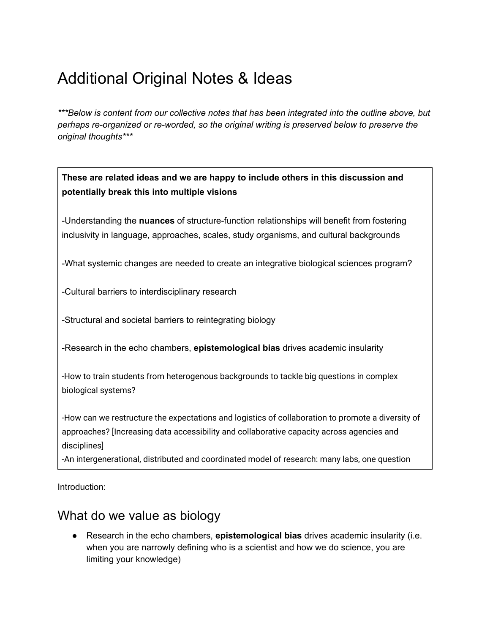## <span id="page-31-0"></span>Additional Original Notes & Ideas

*\*\*\*Below is content from our collective notes that has been integrated into the outline above, but perhaps re-organized or re-worded, so the original writing is preserved below to preserve the original thoughts\*\*\**

### **These are related ideas and we are happy to include others in this discussion and potentially break this into multiple visions**

-Understanding the **nuances** of structure-function relationships will benefit from fostering inclusivity in language, approaches, scales, study organisms, and cultural backgrounds

-What systemic changes are needed to create an integrative biological sciences program?

-Cultural barriers to interdisciplinary research

-Structural and societal barriers to reintegrating biology

-Research in the echo chambers, **epistemological bias** drives academic insularity

-How to train students from heterogenous backgrounds to tackle big questions in complex biological systems?

-How can we restructure the expectations and logistics of collaboration to promote a diversity of approaches? [Increasing data accessibility and collaborative capacity across agencies and disciplines]

-An intergenerational, distributed and coordinated model of research: many labs, one question

<span id="page-31-1"></span>Introduction:

## What do we value as biology

● Research in the echo chambers, **epistemological bias** drives academic insularity (i.e. when you are narrowly defining who is a scientist and how we do science, you are limiting your knowledge)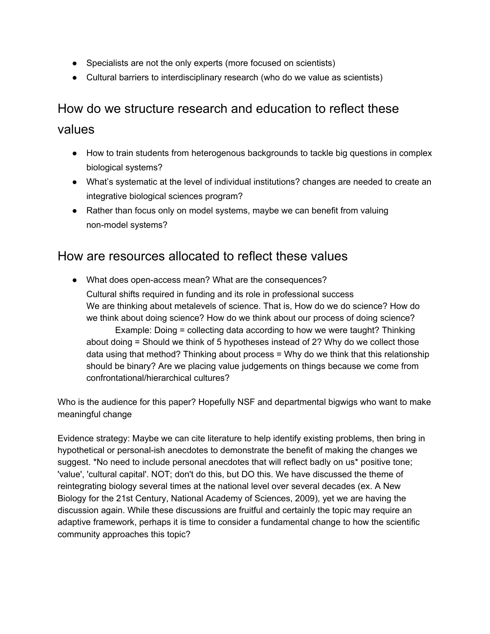- Specialists are not the only experts (more focused on scientists)
- Cultural barriers to interdisciplinary research (who do we value as scientists)

## <span id="page-32-0"></span>How do we structure research and education to reflect these

### values

- How to train students from heterogenous backgrounds to tackle big questions in complex biological systems?
- What's systematic at the level of individual institutions? changes are needed to create an integrative biological sciences program?
- Rather than focus only on model systems, maybe we can benefit from valuing non-model systems?

### <span id="page-32-1"></span>How are resources allocated to reflect these values

● What does open-access mean? What are the consequences? Cultural shifts required in funding and its role in professional success We are thinking about metalevels of science. That is, How do we do science? How do we think about doing science? How do we think about our process of doing science? Example: Doing = collecting data according to how we were taught? Thinking about doing = Should we think of 5 hypotheses instead of 2? Why do we collect those data using that method? Thinking about process = Why do we think that this relationship should be binary? Are we placing value judgements on things because we come from confrontational/hierarchical cultures?

Who is the audience for this paper? Hopefully NSF and departmental bigwigs who want to make meaningful change

Evidence strategy: Maybe we can cite literature to help identify existing problems, then bring in hypothetical or personal-ish anecdotes to demonstrate the benefit of making the changes we suggest. \*No need to include personal anecdotes that will reflect badly on us\* positive tone; 'value', 'cultural capital'. NOT; don't do this, but DO this. We have discussed the theme of reintegrating biology several times at the national level over several decades (ex. A New Biology for the 21st Century, National Academy of Sciences, 2009), yet we are having the discussion again. While these discussions are fruitful and certainly the topic may require an adaptive framework, perhaps it is time to consider a fundamental change to how the scientific community approaches this topic?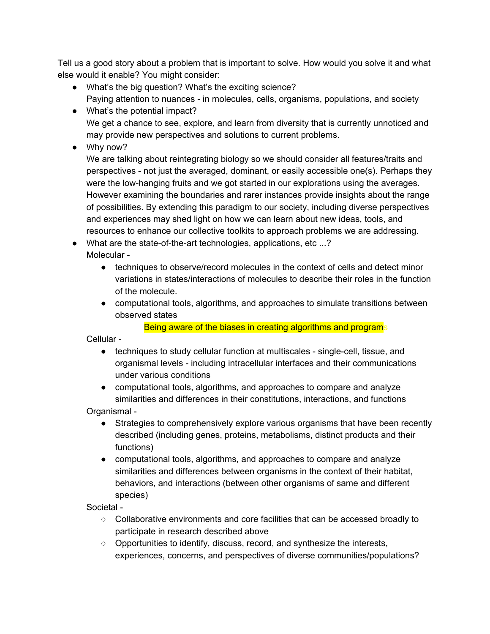Tell us a good story about a problem that is important to solve. How would you solve it and what else would it enable? You might consider:

- What's the big question? What's the exciting science? Paying attention to nuances - in molecules, cells, organisms, populations, and society
- What's the potential impact? We get a chance to see, explore, and learn from diversity that is currently unnoticed and may provide new perspectives and solutions to current problems.
- Why now?

We are talking about reintegrating biology so we should consider all features/traits and perspectives - not just the averaged, dominant, or easily accessible one(s). Perhaps they were the low-hanging fruits and we got started in our explorations using the averages. However examining the boundaries and rarer instances provide insights about the range of possibilities. By extending this paradigm to our society, including diverse perspectives and experiences may shed light on how we can learn about new ideas, tools, and resources to enhance our collective toolkits to approach problems we are addressing.

● What are the state-of-the-art technologies, applications, etc ...? Molecular -

- techniques to observe/record molecules in the context of cells and detect minor variations in states/interactions of molecules to describe their roles in the function of the molecule.
- computational tools, algorithms, and approaches to simulate transitions between observed states

Being aware of the biases in creating algorithms and programs

Cellular -

- techniques to study cellular function at multiscales single-cell, tissue, and organismal levels - including intracellular interfaces and their communications under various conditions
- computational tools, algorithms, and approaches to compare and analyze similarities and differences in their constitutions, interactions, and functions

Organismal -

- Strategies to comprehensively explore various organisms that have been recently described (including genes, proteins, metabolisms, distinct products and their functions)
- computational tools, algorithms, and approaches to compare and analyze similarities and differences between organisms in the context of their habitat, behaviors, and interactions (between other organisms of same and different species)

Societal -

- Collaborative environments and core facilities that can be accessed broadly to participate in research described above
- Opportunities to identify, discuss, record, and synthesize the interests, experiences, concerns, and perspectives of diverse communities/populations?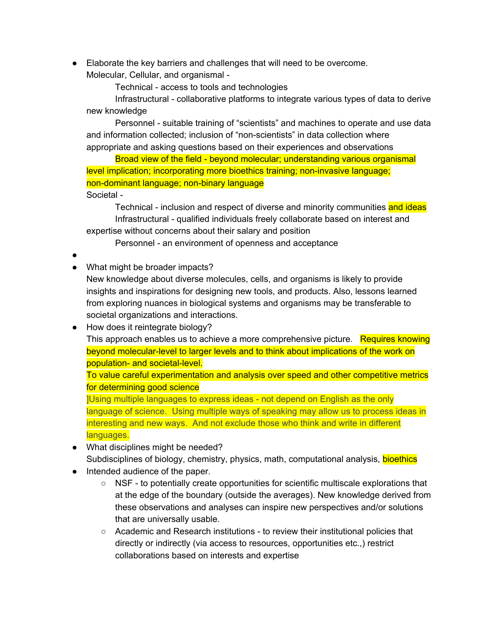● Elaborate the key barriers and challenges that will need to be overcome. Molecular, Cellular, and organismal -

Technical - access to tools and technologies

Infrastructural - collaborative platforms to integrate various types of data to derive new knowledge

Personnel - suitable training of "scientists" and machines to operate and use data and information collected; inclusion of "non-scientists" in data collection where appropriate and asking questions based on their experiences and observations

Broad view of the field - beyond molecular; understanding various organismal level implication; incorporating more bioethics training; non-invasive language; non-dominant language; non-binary language Societal -

Technical - inclusion and respect of diverse and minority communities and ideas Infrastructural - qualified individuals freely collaborate based on interest and expertise without concerns about their salary and position

Personnel - an environment of openness and acceptance

- ●
- What might be broader impacts?

New knowledge about diverse molecules, cells, and organisms is likely to provide insights and inspirations for designing new tools, and products. Also, lessons learned from exploring nuances in biological systems and organisms may be transferable to societal organizations and interactions.

● How does it reintegrate biology? This approach enables us to achieve a more comprehensive picture. Requires knowing beyond molecular-level to larger levels and to think about implications of the work on population- and societal-level.

To value careful experimentation and analysis over speed and other competitive metrics for determining good science

]Using multiple languages to express ideas - not depend on English as the only language of science. Using multiple ways of speaking may allow us to process ideas in interesting and new ways. And not exclude those who think and write in different languages.

- What disciplines might be needed? Subdisciplines of biology, chemistry, physics, math, computational analysis, **bioethics**
- Intended audience of the paper.
	- $\circ$  NSF to potentially create opportunities for scientific multiscale explorations that at the edge of the boundary (outside the averages). New knowledge derived from these observations and analyses can inspire new perspectives and/or solutions that are universally usable.
	- Academic and Research institutions to review their institutional policies that directly or indirectly (via access to resources, opportunities etc.,) restrict collaborations based on interests and expertise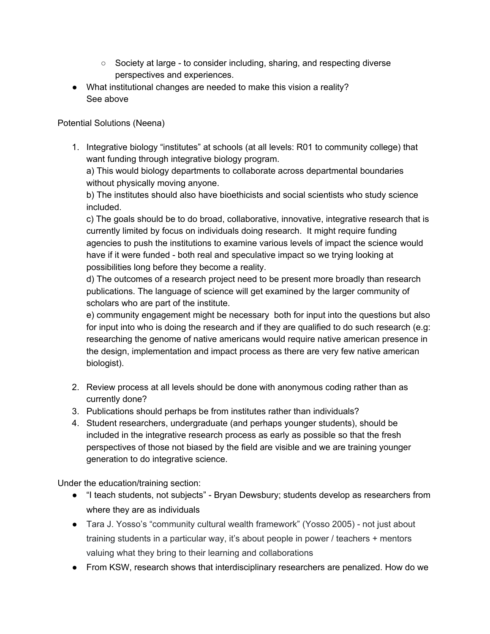- Society at large to consider including, sharing, and respecting diverse perspectives and experiences.
- What institutional changes are needed to make this vision a reality? See above

#### Potential Solutions (Neena)

1. Integrative biology "institutes" at schools (at all levels: R01 to community college) that want funding through integrative biology program.

a) This would biology departments to collaborate across departmental boundaries without physically moving anyone.

b) The institutes should also have bioethicists and social scientists who study science included.

c) The goals should be to do broad, collaborative, innovative, integrative research that is currently limited by focus on individuals doing research. It might require funding agencies to push the institutions to examine various levels of impact the science would have if it were funded - both real and speculative impact so we trying looking at possibilities long before they become a reality.

d) The outcomes of a research project need to be present more broadly than research publications. The language of science will get examined by the larger community of scholars who are part of the institute.

e) community engagement might be necessary both for input into the questions but also for input into who is doing the research and if they are qualified to do such research (e.g: researching the genome of native americans would require native american presence in the design, implementation and impact process as there are very few native american biologist).

- 2. Review process at all levels should be done with anonymous coding rather than as currently done?
- 3. Publications should perhaps be from institutes rather than individuals?
- 4. Student researchers, undergraduate (and perhaps younger students), should be included in the integrative research process as early as possible so that the fresh perspectives of those not biased by the field are visible and we are training younger generation to do integrative science.

Under the education/training section:

- "I teach students, not subjects" Bryan Dewsbury; students develop as researchers from where they are as individuals
- Tara J. Yosso's "community cultural wealth framework" (Yosso 2005) not just about training students in a particular way, it's about people in power / teachers + mentors valuing what they bring to their learning and collaborations
- From KSW, research shows that interdisciplinary researchers are penalized. How do we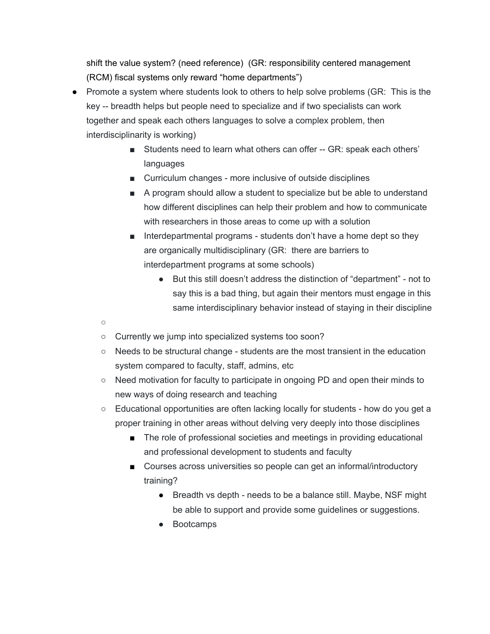shift the value system? (need reference) (GR: responsibility centered management (RCM) fiscal systems only reward "home departments")

- Promote a system where students look to others to help solve problems (GR: This is the key -- breadth helps but people need to specialize and if two specialists can work together and speak each others languages to solve a complex problem, then interdisciplinarity is working)
	- Students need to learn what others can offer -- GR: speak each others' languages
	- Curriculum changes more inclusive of outside disciplines
	- A program should allow a student to specialize but be able to understand how different disciplines can help their problem and how to communicate with researchers in those areas to come up with a solution
	- Interdepartmental programs students don't have a home dept so they are organically multidisciplinary (GR: there are barriers to interdepartment programs at some schools)
		- But this still doesn't address the distinction of "department" not to say this is a bad thing, but again their mentors must engage in this same interdisciplinary behavior instead of staying in their discipline
	- $\circ$
	- Currently we jump into specialized systems too soon?
	- Needs to be structural change students are the most transient in the education system compared to faculty, staff, admins, etc
	- Need motivation for faculty to participate in ongoing PD and open their minds to new ways of doing research and teaching
	- Educational opportunities are often lacking locally for students how do you get a proper training in other areas without delving very deeply into those disciplines
		- The role of professional societies and meetings in providing educational and professional development to students and faculty
		- Courses across universities so people can get an informal/introductory training?
			- Breadth vs depth needs to be a balance still. Maybe, NSF might be able to support and provide some guidelines or suggestions.
			- Bootcamps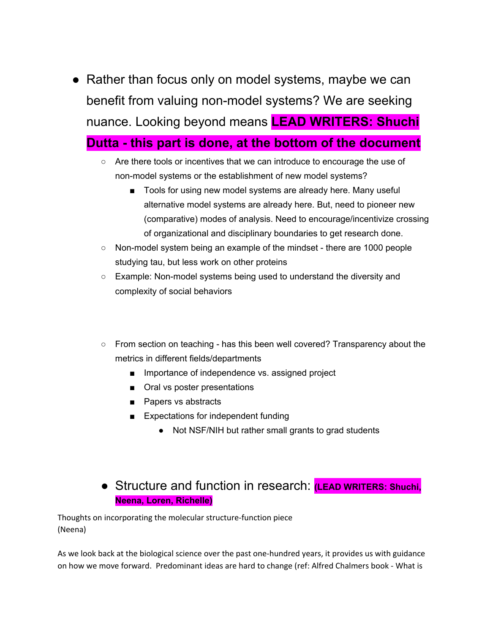<span id="page-37-0"></span>• Rather than focus only on model systems, maybe we can benefit from valuing non-model systems? We are seeking nuance. Looking beyond means **LEAD WRITERS: Shuchi Dutta - this part is done, at the bottom of the document**

## ○ Are there tools or incentives that we can introduce to encourage the use of

- non-model systems or the establishment of new model systems?
	- Tools for using new model systems are already here. Many useful alternative model systems are already here. But, need to pioneer new (comparative) modes of analysis. Need to encourage/incentivize crossing of organizational and disciplinary boundaries to get research done.
- Non-model system being an example of the mindset there are 1000 people studying tau, but less work on other proteins
- Example: Non-model systems being used to understand the diversity and complexity of social behaviors

### ○ From section on teaching - has this been well covered? Transparency about the metrics in different fields/departments

- Importance of independence vs. assigned project
- Oral vs poster presentations
- Papers vs abstracts
- Expectations for independent funding
	- Not NSF/NIH but rather small grants to grad students

### <span id="page-37-1"></span>● Structure and function in research: **(LEAD WRITERS: Shuchi, Neena, Loren, Richelle)**

Thoughts on incorporating the molecular structure-function piece (Neena)

As we look back at the biological science over the past one-hundred years, it provides us with guidance on how we move forward. Predominant ideas are hard to change (ref: Alfred Chalmers book - What is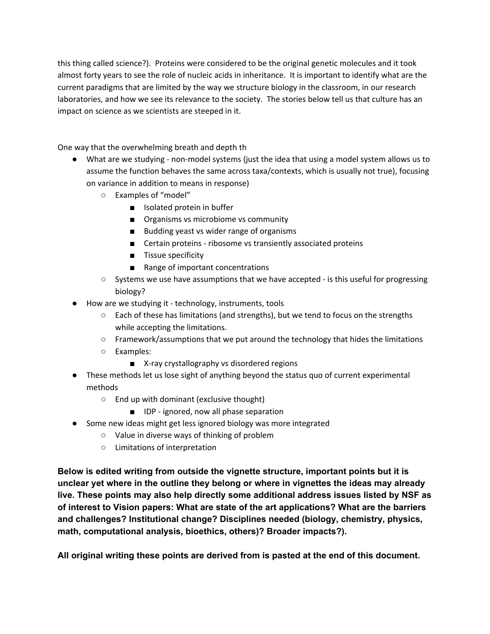this thing called science?). Proteins were considered to be the original genetic molecules and it took almost forty years to see the role of nucleic acids in inheritance. It is important to identify what are the current paradigms that are limited by the way we structure biology in the classroom, in our research laboratories, and how we see its relevance to the society. The stories below tell us that culture has an impact on science as we scientists are steeped in it.

One way that the overwhelming breath and depth th

- What are we studying non-model systems (just the idea that using a model system allows us to assume the function behaves the same across taxa/contexts, which is usually not true), focusing on variance in addition to means in response)
	- Examples of "model"
		- Isolated protein in buffer
		- Organisms vs microbiome vs community
		- Budding yeast vs wider range of organisms
		- Certain proteins ribosome vs transiently associated proteins
		- Tissue specificity
		- Range of important concentrations
	- Systems we use have assumptions that we have accepted is this useful for progressing biology?
- How are we studying it technology, instruments, tools
	- Each of these has limitations (and strengths), but we tend to focus on the strengths while accepting the limitations.
	- Framework/assumptions that we put around the technology that hides the limitations
	- Examples:
		- X-ray crystallography vs disordered regions
- These methods let us lose sight of anything beyond the status quo of current experimental methods
	- End up with dominant (exclusive thought)
		- IDP ignored, now all phase separation
- Some new ideas might get less ignored biology was more integrated
	- Value in diverse ways of thinking of problem
	- Limitations of interpretation

**Below is edited writing from outside the vignette structure, important points but it is unclear yet where in the outline they belong or where in vignettes the ideas may already live. These points may also help directly some additional address issues listed by NSF as of interest to Vision papers: What are state of the art applications? What are the barriers and challenges? Institutional change? Disciplines needed (biology, chemistry, physics, math, computational analysis, bioethics, others)? Broader impacts?).**

**All original writing these points are derived from is pasted at the end of this document.**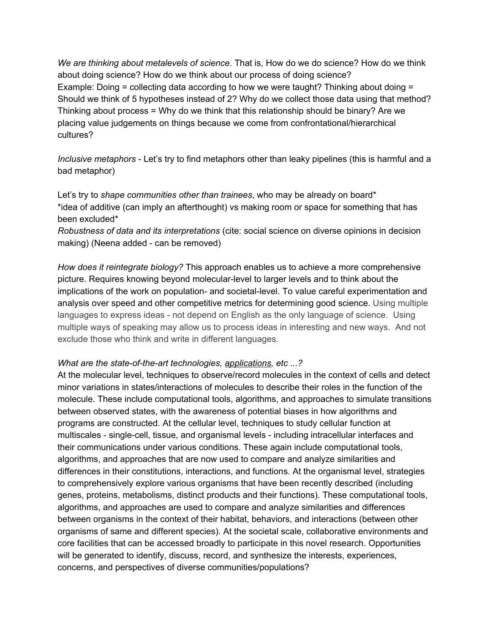*We are thinking about metalevels of science*. That is, How do we do science? How do we think about doing science? How do we think about our process of doing science? Example: Doing = collecting data according to how we were taught? Thinking about doing = Should we think of 5 hypotheses instead of 2? Why do we collect those data using that method? Thinking about process = Why do we think that this relationship should be binary? Are we placing value judgements on things because we come from confrontational/hierarchical cultures?

*Inclusive metaphors* - Let's try to find metaphors other than leaky pipelines (this is harmful and a bad metaphor)

Let's try to *shape communities other than trainees*, who may be already on board\* \*idea of additive (can imply an afterthought) vs making room or space for something that has been excluded\*

*Robustness of data and its interpretations* (cite: social science on diverse opinions in decision making) (Neena added - can be removed)

*How does it reintegrate biology?* This approach enables us to achieve a more comprehensive picture. Requires knowing beyond molecular-level to larger levels and to think about the implications of the work on population- and societal-level. To value careful experimentation and analysis over speed and other competitive metrics for determining good science. Using multiple languages to express ideas - not depend on English as the only language of science. Using multiple ways of speaking may allow us to process ideas in interesting and new ways. And not exclude those who think and write in different languages.

#### *What are the state-of-the-art technologies, applications, etc ...?*

At the molecular level, techniques to observe/record molecules in the context of cells and detect minor variations in states/interactions of molecules to describe their roles in the function of the molecule. These include computational tools, algorithms, and approaches to simulate transitions between observed states, with the awareness of potential biases in how algorithms and programs are constructed. At the cellular level, techniques to study cellular function at multiscales - single-cell, tissue, and organismal levels - including intracellular interfaces and their communications under various conditions. These again include computational tools, algorithms, and approaches that are now used to compare and analyze similarities and differences in their constitutions, interactions, and functions. At the organismal level, strategies to comprehensively explore various organisms that have been recently described (including genes, proteins, metabolisms, distinct products and their functions). These computational tools, algorithms, and approaches are used to compare and analyze similarities and differences between organisms in the context of their habitat, behaviors, and interactions (between other organisms of same and different species). At the societal scale, collaborative environments and core facilities that can be accessed broadly to participate in this novel research. Opportunities will be generated to identify, discuss, record, and synthesize the interests, experiences, concerns, and perspectives of diverse communities/populations?